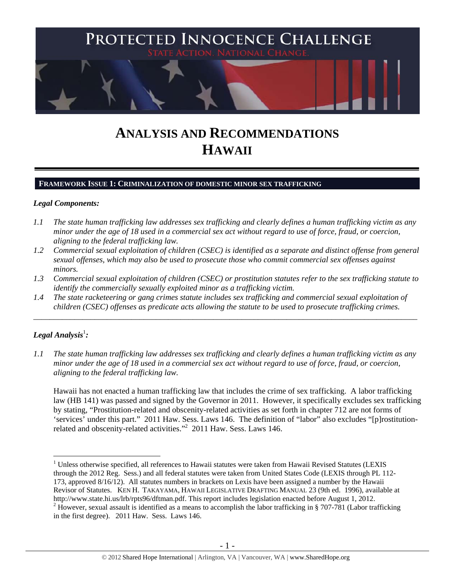

# **ANALYSIS AND RECOMMENDATIONS HAWAII**

### **FRAMEWORK ISSUE 1: CRIMINALIZATION OF DOMESTIC MINOR SEX TRAFFICKING**

#### *Legal Components:*

- *1.1 The state human trafficking law addresses sex trafficking and clearly defines a human trafficking victim as any minor under the age of 18 used in a commercial sex act without regard to use of force, fraud, or coercion, aligning to the federal trafficking law.*
- *1.2 Commercial sexual exploitation of children (CSEC) is identified as a separate and distinct offense from general sexual offenses, which may also be used to prosecute those who commit commercial sex offenses against minors.*
- *1.3 Commercial sexual exploitation of children (CSEC) or prostitution statutes refer to the sex trafficking statute to identify the commercially sexually exploited minor as a trafficking victim.*

\_\_\_\_\_\_\_\_\_\_\_\_\_\_\_\_\_\_\_\_\_\_\_\_\_\_\_\_\_\_\_\_\_\_\_\_\_\_\_\_\_\_\_\_\_\_\_\_\_\_\_\_\_\_\_\_\_\_\_\_\_\_\_\_\_\_\_\_\_\_\_\_\_\_\_\_\_\_\_\_\_\_\_\_\_\_\_\_\_\_\_\_\_\_

*1.4 The state racketeering or gang crimes statute includes sex trafficking and commercial sexual exploitation of children (CSEC) offenses as predicate acts allowing the statute to be used to prosecute trafficking crimes.* 

# ${\it Legal Analysis^!}$  :

*1.1 The state human trafficking law addresses sex trafficking and clearly defines a human trafficking victim as any minor under the age of 18 used in a commercial sex act without regard to use of force, fraud, or coercion, aligning to the federal trafficking law.*

Hawaii has not enacted a human trafficking law that includes the crime of sex trafficking. A labor trafficking law (HB 141) was passed and signed by the Governor in 2011. However, it specifically excludes sex trafficking by stating, "Prostitution-related and obscenity-related activities as set forth in chapter 712 are not forms of 'services' under this part." 2011 Haw. Sess. Laws 146. The definition of "labor" also excludes "[p]rostitutionrelated and obscenity-related activities."<sup>2</sup> 2011 Haw. Sess. Laws 146.

 $\overline{a}$ <sup>1</sup> Unless otherwise specified, all references to Hawaii statutes were taken from Hawaii Revised Statutes (LEXIS through the 2012 Reg. Sess.) and all federal statutes were taken from United States Code (LEXIS through PL 112- 173, approved 8/16/12). All statutes numbers in brackets on Lexis have been assigned a number by the Hawaii Revisor of Statutes. KEN H. TAKAYAMA, HAWAII LEGISLATIVE DRAFTING MANUAL 23 (9th ed. 1996), available at http://www.state.hi.us/lrb/rpts96/dftman.pdf. This report includes legislation enacted before August 1, 2012.

<sup>&</sup>lt;sup>2</sup> However, sexual assault is identified as a means to accomplish the labor trafficking in § 707-781 (Labor trafficking in the first degree). 2011 Haw. Sess. Laws 146.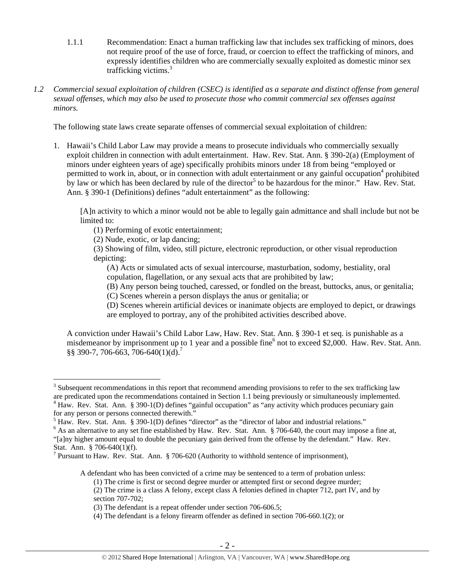- 1.1.1 Recommendation: Enact a human trafficking law that includes sex trafficking of minors, does not require proof of the use of force, fraud, or coercion to effect the trafficking of minors, and expressly identifies children who are commercially sexually exploited as domestic minor sex trafficking victims.<sup>3</sup>
- *1.2 Commercial sexual exploitation of children (CSEC) is identified as a separate and distinct offense from general sexual offenses, which may also be used to prosecute those who commit commercial sex offenses against minors.*

The following state laws create separate offenses of commercial sexual exploitation of children:

1. Hawaii's Child Labor Law may provide a means to prosecute individuals who commercially sexually exploit children in connection with adult entertainment. Haw. Rev. Stat. Ann. § 390-2(a) (Employment of minors under eighteen years of age) specifically prohibits minors under 18 from being "employed or permitted to work in, about, or in connection with adult entertainment or any gainful occupation<sup>4</sup> prohibited by law or which has been declared by rule of the director<sup>5</sup> to be hazardous for the minor." Haw. Rev. Stat. Ann. § 390-1 (Definitions) defines "adult entertainment" as the following:

[A]n activity to which a minor would not be able to legally gain admittance and shall include but not be limited to:

- (1) Performing of exotic entertainment;
- (2) Nude, exotic, or lap dancing;

(3) Showing of film, video, still picture, electronic reproduction, or other visual reproduction depicting:

(A) Acts or simulated acts of sexual intercourse, masturbation, sodomy, bestiality, oral copulation, flagellation, or any sexual acts that are prohibited by law;

(B) Any person being touched, caressed, or fondled on the breast, buttocks, anus, or genitalia;

(C) Scenes wherein a person displays the anus or genitalia; or

(D) Scenes wherein artificial devices or inanimate objects are employed to depict, or drawings are employed to portray, any of the prohibited activities described above.

A conviction under Hawaii's Child Labor Law, Haw. Rev. Stat. Ann. § 390-1 et seq. is punishable as a misdemeanor by imprisonment up to 1 year and a possible fine<sup>6</sup> not to exceed \$2,000. Haw. Rev. Stat. Ann. §§ 390-7, 706-663, 706-640(1)(d).<sup>7</sup>

 $\overline{a}$ 

A defendant who has been convicted of a crime may be sentenced to a term of probation unless:

 $3$  Subsequent recommendations in this report that recommend amending provisions to refer to the sex trafficking law are predicated upon the recommendations contained in Section 1.1 being previously or simultaneously implemented. <sup>4</sup> Haw. Rev. Stat. Ann. § 390-1(D) defines "gainful occupation" as "any activity which produces pecuniary gain

for any person or persons connected therewith."

<sup>&</sup>lt;sup>5</sup> Haw. Rev. Stat. Ann. § 390-1(D) defines "director" as the "director of labor and industrial relations."  $\frac{6}{100}$ 

 $6$  As an alternative to any set fine established by Haw. Rev. Stat. Ann. § 706-640, the court may impose a fine at, "[a]ny higher amount equal to double the pecuniary gain derived from the offense by the defendant." Haw. Rev. Stat. Ann. § 706-640(1)(f).

<sup>&</sup>lt;sup>7</sup> Pursuant to Haw. Rev. Stat. Ann. § 706-620 (Authority to withhold sentence of imprisonment),

<sup>(1)</sup> The crime is first or second degree murder or attempted first or second degree murder;

<sup>(2)</sup> The crime is a class A felony, except class A felonies defined in chapter 712, part IV, and by section 707-702;

<sup>(3)</sup> The defendant is a repeat offender under section 706-606.5;

<sup>(4)</sup> The defendant is a felony firearm offender as defined in section 706-660.1(2); or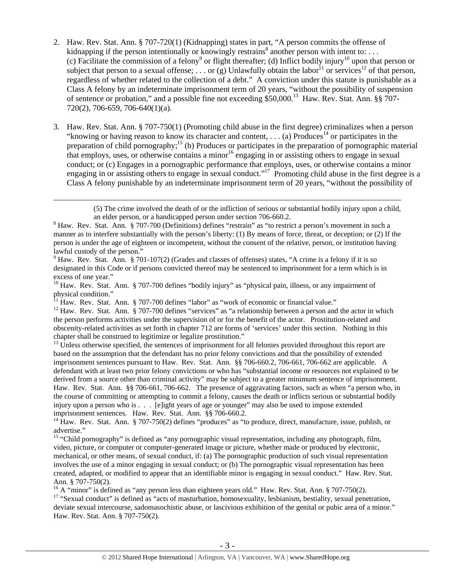- 2. Haw. Rev. Stat. Ann. § 707-720(1) (Kidnapping) states in part, "A person commits the offense of kidnapping if the person intentionally or knowingly restrains<sup>8</sup> another person with intent to: ... (c) Facilitate the commission of a felony<sup>9</sup> or flight thereafter; (d) Inflict bodily injury<sup>10</sup> upon that person or subject that person to a sexual offense; ... or  $\overline{g}$ ) Unlawfully obtain the labor<sup>11</sup> or services<sup>12</sup> of that person. regardless of whether related to the collection of a debt." A conviction under this statute is punishable as a Class A felony by an indeterminate imprisonment term of 20 years, "without the possibility of suspension of sentence or probation," and a possible fine not exceeding \$50,000.<sup>13</sup> Haw. Rev. Stat. Ann. §§ 707-720(2), 706-659, 706-640(1)(a).
- 3. Haw. Rev. Stat. Ann. § 707-750(1) (Promoting child abuse in the first degree) criminalizes when a person "knowing or having reason to know its character and content, ... (a) Produces<sup>14</sup> or participates in the preparation of child pornography;<sup>15</sup> (b) Produces or participates in the preparation of pornographic material that employs, uses, or otherwise contains a minor<sup>16</sup> engaging in or assisting others to engage in sexual conduct; or (c) Engages in a pornographic performance that employs, uses, or otherwise contains a minor engaging in or assisting others to engage in sexual conduct."<sup>17</sup> Promoting child abuse in the first degree is a Class A felony punishable by an indeterminate imprisonment term of 20 years, "without the possibility of

 (5) The crime involved the death of or the infliction of serious or substantial bodily injury upon a child, an elder person, or a handicapped person under section 706-660.2.

 $11$  Haw. Rev. Stat. Ann. § 707-700 defines "labor" as "work of economic or financial value."

<sup>12</sup> Haw. Rev. Stat. Ann. § 707-700 defines "services" as "a relationship between a person and the actor in which the person performs activities under the supervision of or for the benefit of the actor. Prostitution-related and obscenity-related activities as set forth in chapter 712 are forms of 'services' under this section. Nothing in this chapter shall be construed to legitimize or legalize prostitution."

<sup>13</sup> Unless otherwise specified, the sentences of imprisonment for all felonies provided throughout this report are based on the assumption that the defendant has no prior felony convictions and that the possibility of extended imprisonment sentences pursuant to Haw. Rev. Stat. Ann. §§ 706-660.2, 706-661, 706-662 are applicable. A defendant with at least two prior felony convictions or who has "substantial income or resources not explained to be derived from a source other than criminal activity" may be subject to a greater minimum sentence of imprisonment. Haw. Rev. Stat. Ann. §§ 706-661, 706-662. The presence of aggravating factors, such as when "a person who, in the course of committing or attempting to commit a felony, causes the death or inflicts serious or substantial bodily injury upon a person who is . . . [e]ight years of age or younger" may also be used to impose extended imprisonment sentences. Haw. Rev. Stat. Ann. §§ 706-660.2.

<sup>14</sup> Haw. Rev. Stat. Ann. § 707-750(2) defines "produces" as "to produce, direct, manufacture, issue, publish, or advertise."

<sup>15</sup> "Child pornography" is defined as "any pornographic visual representation, including any photograph, film, video, picture, or computer or computer-generated image or picture, whether made or produced by electronic, mechanical, or other means, of sexual conduct, if: (a) The pornographic production of such visual representation involves the use of a minor engaging in sexual conduct; or (b) The pornographic visual representation has been created, adapted, or modified to appear that an identifiable minor is engaging in sexual conduct." Haw. Rev. Stat. Ann. § 707-750(2).<br><sup>16</sup> A "minor" is defined as "any person less than eighteen years old." Haw. Rev. Stat. Ann. § 707-750(2).

<sup>17</sup> "Sexual conduct" is defined as "acts of masturbation, homosexuality, lesbianism, bestiality, sexual penetration, deviate sexual intercourse, sadomasochistic abuse, or lascivious exhibition of the genital or pubic area of a minor." Haw. Rev. Stat. Ann. § 707-750(2).

 $8$  Haw. Rev. Stat. Ann.  $\S 707-700$  (Definitions) defines "restrain" as "to restrict a person's movement in such a manner as to interfere substantially with the person's liberty: (1) By means of force, threat, or deception; or (2) If the person is under the age of eighteen or incompetent, without the consent of the relative, person, or institution having lawful custody of the person."

<sup>&</sup>lt;sup>9</sup> Haw. Rev. Stat. Ann. § 701-107(2) (Grades and classes of offenses) states, "A crime is a felony if it is so designated in this Code or if persons convicted thereof may be sentenced to imprisonment for a term which is in excess of one year."

<sup>&</sup>lt;sup>10</sup> Haw. Rev. Stat. Ann. § 707-700 defines "bodily injury" as "physical pain, illness, or any impairment of physical condition."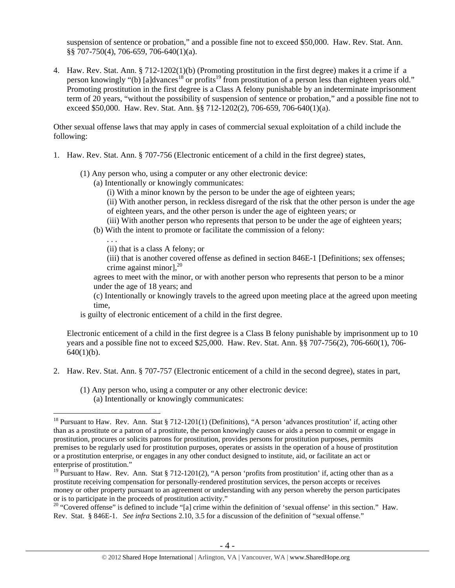suspension of sentence or probation," and a possible fine not to exceed \$50,000. Haw. Rev. Stat. Ann. §§ 707-750(4), 706-659, 706-640(1)(a).

4. Haw. Rev. Stat. Ann. § 712-1202(1)(b) (Promoting prostitution in the first degree) makes it a crime if a person knowingly "(b) [a]dvances<sup>18</sup> or profits<sup>19</sup> from prostitution of a person less than eighteen years old." Promoting prostitution in the first degree is a Class A felony punishable by an indeterminate imprisonment term of 20 years, "without the possibility of suspension of sentence or probation," and a possible fine not to exceed \$50,000. Haw. Rev. Stat. Ann. §§ 712-1202(2), 706-659, 706-640(1)(a).

Other sexual offense laws that may apply in cases of commercial sexual exploitation of a child include the following:

- 1. Haw. Rev. Stat. Ann. § 707-756 (Electronic enticement of a child in the first degree) states,
	- (1) Any person who, using a computer or any other electronic device:
		- (a) Intentionally or knowingly communicates:
			- (i) With a minor known by the person to be under the age of eighteen years;
			- (ii) With another person, in reckless disregard of the risk that the other person is under the age of eighteen years, and the other person is under the age of eighteen years; or
		- (iii) With another person who represents that person to be under the age of eighteen years;
		- (b) With the intent to promote or facilitate the commission of a felony:

. . .

 $\overline{a}$ 

(ii) that is a class A felony; or

(iii) that is another covered offense as defined in section 846E-1 [Definitions; sex offenses; crime against minor], $^{20}$ 

agrees to meet with the minor, or with another person who represents that person to be a minor under the age of 18 years; and

(c) Intentionally or knowingly travels to the agreed upon meeting place at the agreed upon meeting time,

is guilty of electronic enticement of a child in the first degree.

Electronic enticement of a child in the first degree is a Class B felony punishable by imprisonment up to 10 years and a possible fine not to exceed \$25,000. Haw. Rev. Stat. Ann. §§ 707-756(2), 706-660(1), 706-  $640(1)(b)$ .

- 2. Haw. Rev. Stat. Ann. § 707-757 (Electronic enticement of a child in the second degree), states in part,
	- (1) Any person who, using a computer or any other electronic device: (a) Intentionally or knowingly communicates:

<sup>&</sup>lt;sup>18</sup> Pursuant to Haw. Rev. Ann. Stat § 712-1201(1) (Definitions), "A person 'advances prostitution' if, acting other than as a prostitute or a patron of a prostitute, the person knowingly causes or aids a person to commit or engage in prostitution, procures or solicits patrons for prostitution, provides persons for prostitution purposes, permits premises to be regularly used for prostitution purposes, operates or assists in the operation of a house of prostitution or a prostitution enterprise, or engages in any other conduct designed to institute, aid, or facilitate an act or enterprise of prostitution."

<sup>&</sup>lt;sup>19</sup> Pursuant to Haw. Rev. Ann. Stat § 712-1201(2), "A person 'profits from prostitution' if, acting other than as a prostitute receiving compensation for personally-rendered prostitution services, the person accepts or receives money or other property pursuant to an agreement or understanding with any person whereby the person participates or is to participate in the proceeds of prostitution activity."

<sup>&</sup>lt;sup>20</sup> "Covered offense" is defined to include "[a] crime within the definition of 'sexual offense' in this section." Haw. Rev. Stat. § 846E-1. *See infra* Sections 2.10, 3.5 for a discussion of the definition of "sexual offense."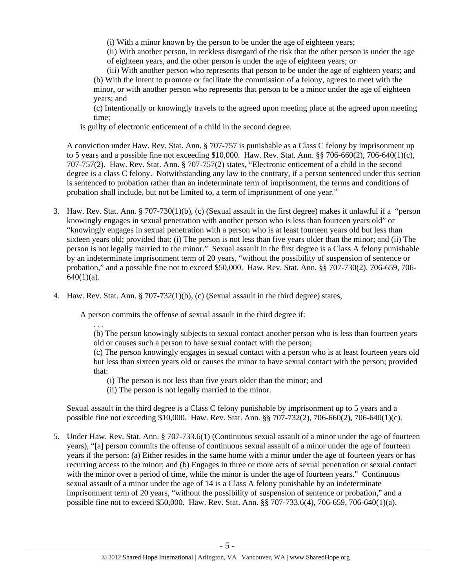(i) With a minor known by the person to be under the age of eighteen years;

(ii) With another person, in reckless disregard of the risk that the other person is under the age of eighteen years, and the other person is under the age of eighteen years; or

(iii) With another person who represents that person to be under the age of eighteen years; and (b) With the intent to promote or facilitate the commission of a felony, agrees to meet with the minor, or with another person who represents that person to be a minor under the age of eighteen years; and

(c) Intentionally or knowingly travels to the agreed upon meeting place at the agreed upon meeting time;

is guilty of electronic enticement of a child in the second degree.

A conviction under Haw. Rev. Stat. Ann. § 707-757 is punishable as a Class C felony by imprisonment up to 5 years and a possible fine not exceeding \$10,000. Haw. Rev. Stat. Ann. §§ 706-660(2), 706-640(1)(c), 707-757(2). Haw. Rev. Stat. Ann. § 707-757(2) states, "Electronic enticement of a child in the second degree is a class C felony. Notwithstanding any law to the contrary, if a person sentenced under this section is sentenced to probation rather than an indeterminate term of imprisonment, the terms and conditions of probation shall include, but not be limited to, a term of imprisonment of one year."

- 3. Haw. Rev. Stat. Ann. § 707-730(1)(b), (c) (Sexual assault in the first degree) makes it unlawful if a "person knowingly engages in sexual penetration with another person who is less than fourteen years old" or "knowingly engages in sexual penetration with a person who is at least fourteen years old but less than sixteen years old; provided that: (i) The person is not less than five years older than the minor; and (ii) The person is not legally married to the minor." Sexual assault in the first degree is a Class A felony punishable by an indeterminate imprisonment term of 20 years, "without the possibility of suspension of sentence or probation," and a possible fine not to exceed \$50,000. Haw. Rev. Stat. Ann. §§ 707-730(2), 706-659, 706-  $640(1)(a)$ .
- 4. Haw. Rev. Stat. Ann. § 707-732(1)(b), (c) (Sexual assault in the third degree) states,

A person commits the offense of sexual assault in the third degree if:

. . .

(b) The person knowingly subjects to sexual contact another person who is less than fourteen years old or causes such a person to have sexual contact with the person;

(c) The person knowingly engages in sexual contact with a person who is at least fourteen years old but less than sixteen years old or causes the minor to have sexual contact with the person; provided that:

- (i) The person is not less than five years older than the minor; and
- (ii) The person is not legally married to the minor.

Sexual assault in the third degree is a Class C felony punishable by imprisonment up to 5 years and a possible fine not exceeding \$10,000. Haw. Rev. Stat. Ann. §§ 707-732(2), 706-660(2), 706-640(1)(c).

5. Under Haw. Rev. Stat. Ann. § 707-733.6(1) (Continuous sexual assault of a minor under the age of fourteen years), "[a] person commits the offense of continuous sexual assault of a minor under the age of fourteen years if the person: (a) Either resides in the same home with a minor under the age of fourteen years or has recurring access to the minor; and (b) Engages in three or more acts of sexual penetration or sexual contact with the minor over a period of time, while the minor is under the age of fourteen years." Continuous sexual assault of a minor under the age of 14 is a Class A felony punishable by an indeterminate imprisonment term of 20 years, "without the possibility of suspension of sentence or probation," and a possible fine not to exceed \$50,000. Haw. Rev. Stat. Ann. §§ 707-733.6(4), 706-659, 706-640(1)(a).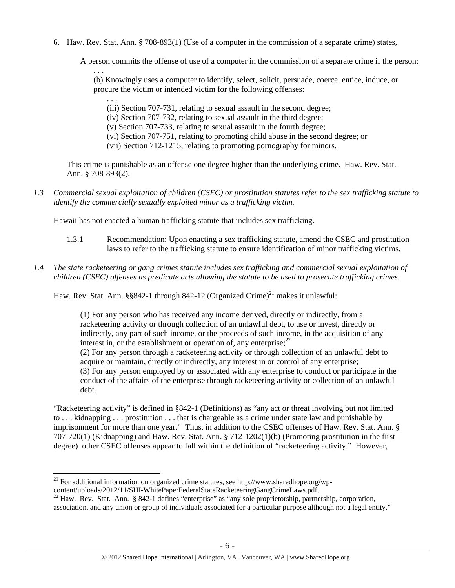6. Haw. Rev. Stat. Ann. § 708-893(1) (Use of a computer in the commission of a separate crime) states,

A person commits the offense of use of a computer in the commission of a separate crime if the person:

. . . (b) Knowingly uses a computer to identify, select, solicit, persuade, coerce, entice, induce, or procure the victim or intended victim for the following offenses:

(iii) Section 707-731, relating to sexual assault in the second degree;

(iv) Section 707-732, relating to sexual assault in the third degree;

(v) Section 707-733, relating to sexual assault in the fourth degree;

- (vi) Section 707-751, relating to promoting child abuse in the second degree; or
- (vii) Section 712-1215, relating to promoting pornography for minors.

This crime is punishable as an offense one degree higher than the underlying crime. Haw. Rev. Stat. Ann. § 708-893(2).

*1.3 Commercial sexual exploitation of children (CSEC) or prostitution statutes refer to the sex trafficking statute to identify the commercially sexually exploited minor as a trafficking victim.* 

Hawaii has not enacted a human trafficking statute that includes sex trafficking.

. . .

 $\overline{a}$ 

- 1.3.1 Recommendation: Upon enacting a sex trafficking statute, amend the CSEC and prostitution laws to refer to the trafficking statute to ensure identification of minor trafficking victims.
- *1.4 The state racketeering or gang crimes statute includes sex trafficking and commercial sexual exploitation of children (CSEC) offenses as predicate acts allowing the statute to be used to prosecute trafficking crimes.*

Haw. Rev. Stat. Ann. §§842-1 through 842-12 (Organized Crime)<sup>21</sup> makes it unlawful:

(1) For any person who has received any income derived, directly or indirectly, from a racketeering activity or through collection of an unlawful debt, to use or invest, directly or indirectly, any part of such income, or the proceeds of such income, in the acquisition of any interest in, or the establishment or operation of, any enterprise;  $2^2$ (2) For any person through a racketeering activity or through collection of an unlawful debt to acquire or maintain, directly or indirectly, any interest in or control of any enterprise; (3) For any person employed by or associated with any enterprise to conduct or participate in the conduct of the affairs of the enterprise through racketeering activity or collection of an unlawful debt.

"Racketeering activity" is defined in §842-1 (Definitions) as "any act or threat involving but not limited to . . . kidnapping . . . prostitution . . . that is chargeable as a crime under state law and punishable by imprisonment for more than one year." Thus, in addition to the CSEC offenses of Haw. Rev. Stat. Ann. § 707-720(1) (Kidnapping) and Haw. Rev. Stat. Ann. § 712-1202(1)(b) (Promoting prostitution in the first degree) other CSEC offenses appear to fall within the definition of "racketeering activity." However,

 $^{21}$  For additional information on organized crime statutes, see http://www.sharedhope.org/wp-

content/uploads/2012/11/SHI-WhitePaperFederalStateRacketeeringGangCrimeLaws.pdf.<br><sup>22</sup> Haw. Rev. Stat. Ann. § 842-1 defines "enterprise" as "any sole proprietorship, partnership, corporation, association, and any union or group of individuals associated for a particular purpose although not a legal entity."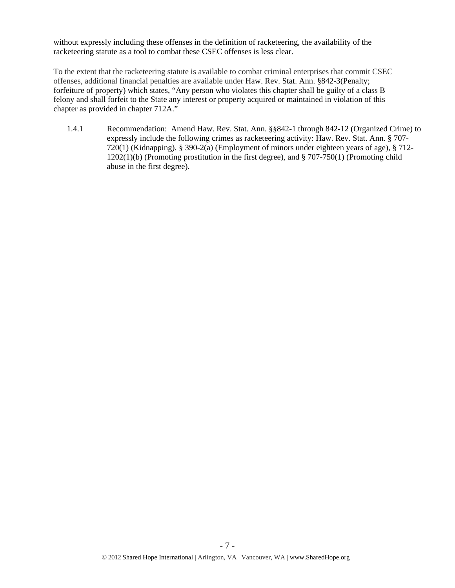without expressly including these offenses in the definition of racketeering, the availability of the racketeering statute as a tool to combat these CSEC offenses is less clear.

To the extent that the racketeering statute is available to combat criminal enterprises that commit CSEC offenses, additional financial penalties are available under Haw. Rev. Stat. Ann. §842-3(Penalty; forfeiture of property) which states, "Any person who violates this chapter shall be guilty of a class B felony and shall forfeit to the State any interest or property acquired or maintained in violation of this chapter as provided in chapter 712A."

1.4.1 Recommendation: Amend Haw. Rev. Stat. Ann. §§842-1 through 842-12 (Organized Crime) to expressly include the following crimes as racketeering activity: Haw. Rev. Stat. Ann. § 707- 720(1) (Kidnapping), § 390-2(a) (Employment of minors under eighteen years of age), § 712- 1202(1)(b) (Promoting prostitution in the first degree), and § 707-750(1) (Promoting child abuse in the first degree).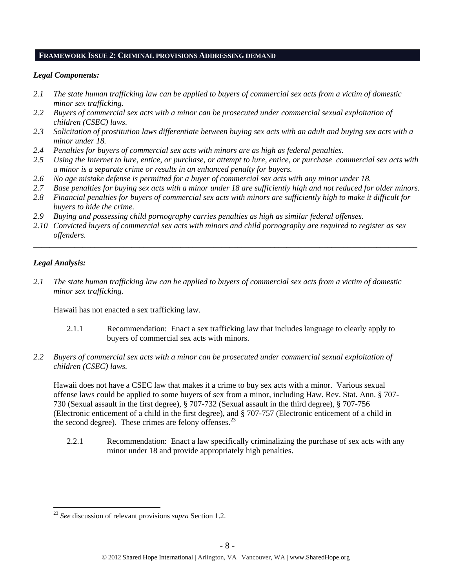#### **FRAMEWORK ISSUE 2: CRIMINAL PROVISIONS ADDRESSING DEMAND**

## *Legal Components:*

- *2.1 The state human trafficking law can be applied to buyers of commercial sex acts from a victim of domestic minor sex trafficking.*
- *2.2 Buyers of commercial sex acts with a minor can be prosecuted under commercial sexual exploitation of children (CSEC) laws.*
- *2.3 Solicitation of prostitution laws differentiate between buying sex acts with an adult and buying sex acts with a minor under 18.*
- *2.4 Penalties for buyers of commercial sex acts with minors are as high as federal penalties.*
- *2.5 Using the Internet to lure, entice, or purchase, or attempt to lure, entice, or purchase commercial sex acts with a minor is a separate crime or results in an enhanced penalty for buyers.*
- *2.6 No age mistake defense is permitted for a buyer of commercial sex acts with any minor under 18.*
- *2.7 Base penalties for buying sex acts with a minor under 18 are sufficiently high and not reduced for older minors.*
- *2.8 Financial penalties for buyers of commercial sex acts with minors are sufficiently high to make it difficult for buyers to hide the crime.*
- *2.9 Buying and possessing child pornography carries penalties as high as similar federal offenses.*
- *2.10 Convicted buyers of commercial sex acts with minors and child pornography are required to register as sex offenders.*

\_\_\_\_\_\_\_\_\_\_\_\_\_\_\_\_\_\_\_\_\_\_\_\_\_\_\_\_\_\_\_\_\_\_\_\_\_\_\_\_\_\_\_\_\_\_\_\_\_\_\_\_\_\_\_\_\_\_\_\_\_\_\_\_\_\_\_\_\_\_\_\_\_\_\_\_\_\_\_\_\_\_\_\_\_\_\_\_\_\_\_\_\_\_

# *Legal Analysis:*

 $\overline{a}$ 

*2.1 The state human trafficking law can be applied to buyers of commercial sex acts from a victim of domestic minor sex trafficking.* 

Hawaii has not enacted a sex trafficking law.

- 2.1.1 Recommendation: Enact a sex trafficking law that includes language to clearly apply to buyers of commercial sex acts with minors.
- *2.2 Buyers of commercial sex acts with a minor can be prosecuted under commercial sexual exploitation of children (CSEC) laws.*

Hawaii does not have a CSEC law that makes it a crime to buy sex acts with a minor. Various sexual offense laws could be applied to some buyers of sex from a minor, including Haw. Rev. Stat. Ann. § 707- 730 (Sexual assault in the first degree), § 707-732 (Sexual assault in the third degree), § 707-756 (Electronic enticement of a child in the first degree), and § 707-757 (Electronic enticement of a child in the second degree). These crimes are felony offenses. $^{23}$ 

2.2.1 Recommendation: Enact a law specifically criminalizing the purchase of sex acts with any minor under 18 and provide appropriately high penalties.

<sup>23</sup> *See* discussion of relevant provisions *supra* Section 1.2.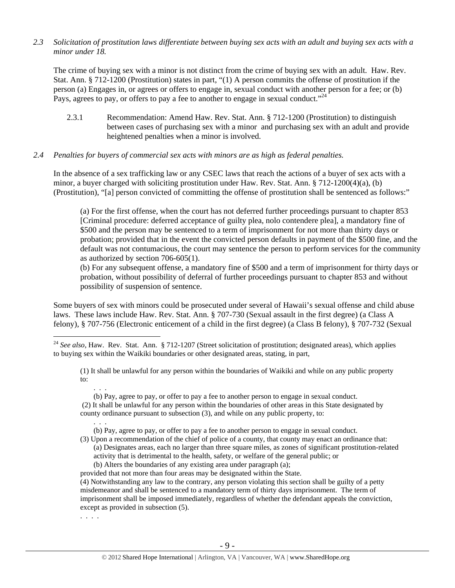*2.3 Solicitation of prostitution laws differentiate between buying sex acts with an adult and buying sex acts with a minor under 18.* 

The crime of buying sex with a minor is not distinct from the crime of buying sex with an adult. Haw. Rev. Stat. Ann. § 712-1200 (Prostitution) states in part, "(1) A person commits the offense of prostitution if the person (a) Engages in, or agrees or offers to engage in, sexual conduct with another person for a fee; or (b) Pays, agrees to pay, or offers to pay a fee to another to engage in sexual conduct."<sup>24</sup>

2.3.1 Recommendation: Amend Haw. Rev. Stat. Ann. § 712-1200 (Prostitution) to distinguish between cases of purchasing sex with a minor and purchasing sex with an adult and provide heightened penalties when a minor is involved.

#### *2.4 Penalties for buyers of commercial sex acts with minors are as high as federal penalties.*

In the absence of a sex trafficking law or any CSEC laws that reach the actions of a buyer of sex acts with a minor, a buyer charged with soliciting prostitution under Haw. Rev. Stat. Ann. § 712-1200(4)(a), (b) (Prostitution), "[a] person convicted of committing the offense of prostitution shall be sentenced as follows:"

(a) For the first offense, when the court has not deferred further proceedings pursuant to chapter 853 [Criminal procedure: deferred acceptance of guilty plea, nolo contendere plea], a mandatory fine of \$500 and the person may be sentenced to a term of imprisonment for not more than thirty days or probation; provided that in the event the convicted person defaults in payment of the \$500 fine, and the default was not contumacious, the court may sentence the person to perform services for the community as authorized by section 706-605(1).

(b) For any subsequent offense, a mandatory fine of \$500 and a term of imprisonment for thirty days or probation, without possibility of deferral of further proceedings pursuant to chapter 853 and without possibility of suspension of sentence.

Some buyers of sex with minors could be prosecuted under several of Hawaii's sexual offense and child abuse laws. These laws include Haw. Rev. Stat. Ann. § 707-730 (Sexual assault in the first degree) (a Class A felony), § 707-756 (Electronic enticement of a child in the first degree) (a Class B felony), § 707-732 (Sexual

 $\overline{a}$ <sup>24</sup> *See also*, Haw. Rev. Stat. Ann. § 712-1207 (Street solicitation of prostitution; designated areas), which applies to buying sex within the Waikiki boundaries or other designated areas, stating, in part,

(1) It shall be unlawful for any person within the boundaries of Waikiki and while on any public property to:

 . . . (b) Pay, agree to pay, or offer to pay a fee to another person to engage in sexual conduct. (2) It shall be unlawful for any person within the boundaries of other areas in this State designated by

county ordinance pursuant to subsection (3), and while on any public property, to: . . .

(b) Pay, agree to pay, or offer to pay a fee to another person to engage in sexual conduct.

- (3) Upon a recommendation of the chief of police of a county, that county may enact an ordinance that: (a) Designates areas, each no larger than three square miles, as zones of significant prostitution-related activity that is detrimental to the health, safety, or welfare of the general public; or (b) Alters the boundaries of any existing area under paragraph (a);
- provided that not more than four areas may be designated within the State.

(4) Notwithstanding any law to the contrary, any person violating this section shall be guilty of a petty misdemeanor and shall be sentenced to a mandatory term of thirty days imprisonment. The term of imprisonment shall be imposed immediately, regardless of whether the defendant appeals the conviction, except as provided in subsection (5).

. . . .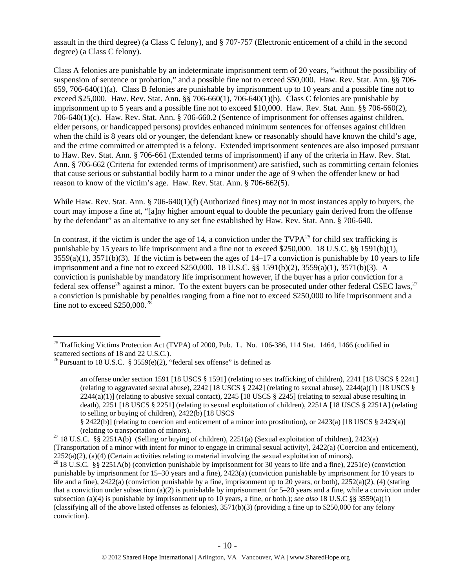assault in the third degree) (a Class C felony), and § 707-757 (Electronic enticement of a child in the second degree) (a Class C felony).

Class A felonies are punishable by an indeterminate imprisonment term of 20 years, "without the possibility of suspension of sentence or probation," and a possible fine not to exceed \$50,000. Haw. Rev. Stat. Ann. §§ 706- 659, 706-640(1)(a). Class B felonies are punishable by imprisonment up to 10 years and a possible fine not to exceed \$25,000. Haw. Rev. Stat. Ann. §§ 706-660(1), 706-640(1)(b). Class C felonies are punishable by imprisonment up to 5 years and a possible fine not to exceed \$10,000. Haw. Rev. Stat. Ann. §§ 706-660(2), 706-640(1)(c). Haw. Rev. Stat. Ann. § 706-660.2 (Sentence of imprisonment for offenses against children, elder persons, or handicapped persons) provides enhanced minimum sentences for offenses against children when the child is 8 years old or younger, the defendant knew or reasonably should have known the child's age, and the crime committed or attempted is a felony. Extended imprisonment sentences are also imposed pursuant to Haw. Rev. Stat. Ann. § 706-661 (Extended terms of imprisonment) if any of the criteria in Haw. Rev. Stat. Ann. § 706-662 (Criteria for extended terms of imprisonment) are satisfied, such as committing certain felonies that cause serious or substantial bodily harm to a minor under the age of 9 when the offender knew or had reason to know of the victim's age. Haw. Rev. Stat. Ann. § 706-662(5).

While Haw. Rev. Stat. Ann. § 706-640(1)(f) (Authorized fines) may not in most instances apply to buyers, the court may impose a fine at, "[a]ny higher amount equal to double the pecuniary gain derived from the offense by the defendant" as an alternative to any set fine established by Haw. Rev. Stat. Ann. § 706-640.

In contrast, if the victim is under the age of 14, a conviction under the  $TVPA^{25}$  for child sex trafficking is punishable by 15 years to life imprisonment and a fine not to exceed \$250,000. 18 U.S.C. §§ 1591(b)(1),  $3559(a)(1)$ ,  $3571(b)(3)$ . If the victim is between the ages of  $14-17$  a conviction is punishable by 10 years to life imprisonment and a fine not to exceed \$250,000. 18 U.S.C. §§ 1591(b)(2), 3559(a)(1), 3571(b)(3). A conviction is punishable by mandatory life imprisonment however, if the buyer has a prior conviction for a federal sex offense<sup>26</sup> against a minor. To the extent buyers can be prosecuted under other federal CSEC laws,<sup>27</sup> a conviction is punishable by penalties ranging from a fine not to exceed \$250,000 to life imprisonment and a fine not to exceed  $$250,000$ .

 $\overline{a}$ 

§ 2422(b)] (relating to coercion and enticement of a minor into prostitution), or 2423(a) [18 USCS § 2423(a)] (relating to transportation of minors). 27 18 U.S.C. §§ 2251A(b) (Selling or buying of children), 2251(a) (Sexual exploitation of children), 2423(a)

<sup>&</sup>lt;sup>25</sup> Trafficking Victims Protection Act (TVPA) of 2000, Pub. L. No. 106-386, 114 Stat. 1464, 1466 (codified in scattered sections of 18 and 22 U.S.C.).

<sup>&</sup>lt;sup>26</sup> Pursuant to 18 U.S.C. § 3559(e)(2), "federal sex offense" is defined as

an offense under section 1591 [18 USCS § 1591] (relating to sex trafficking of children), 2241 [18 USCS § 2241] (relating to aggravated sexual abuse),  $2242$  [18 USCS § 2242] (relating to sexual abuse),  $2244(a)(1)$  [18 USCS §  $2244(a)(1)$  (relating to abusive sexual contact), 2245 [18 USCS § 2245] (relating to sexual abuse resulting in death), 2251 [18 USCS § 2251] (relating to sexual exploitation of children), 2251A [18 USCS § 2251A] (relating to selling or buying of children), 2422(b) [18 USCS

<sup>(</sup>Transportation of a minor with intent for minor to engage in criminal sexual activity), 2422(a) (Coercion and enticement), 2252(a)(2), (a)(4) (Certain activities relating to material involving the sexual exploitation of minors). <sup>28</sup> 18 U.S.C. §§ 2251A(b) (conviction punishable by imprisonment for 30 years to life and a fine), 2251(e) (convic

punishable by imprisonment for 15–30 years and a fine), 2423(a) (conviction punishable by imprisonment for 10 years to life and a fine),  $2422(a)$  (conviction punishable by a fine, imprisonment up to 20 years, or both),  $2252(a)(2)$ , (4) (stating that a conviction under subsection (a)(2) is punishable by imprisonment for  $5-20$  years and a fine, while a conviction under subsection (a)(4) is punishable by imprisonment up to 10 years, a fine, or both.); *see also* 18 U.S.C §§ 3559(a)(1) (classifying all of the above listed offenses as felonies),  $3571(b)(3)$  (providing a fine up to \$250,000 for any felony conviction).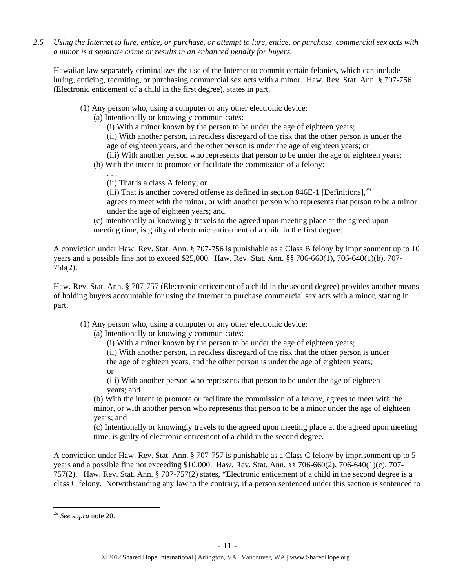*2.5 Using the Internet to lure, entice, or purchase, or attempt to lure, entice, or purchase commercial sex acts with a minor is a separate crime or results in an enhanced penalty for buyers.* 

Hawaiian law separately criminalizes the use of the Internet to commit certain felonies, which can include luring, enticing, recruiting, or purchasing commercial sex acts with a minor. Haw. Rev. Stat. Ann. § 707-756 (Electronic enticement of a child in the first degree), states in part,

- (1) Any person who, using a computer or any other electronic device:
	- (a) Intentionally or knowingly communicates:

(i) With a minor known by the person to be under the age of eighteen years;

(ii) With another person, in reckless disregard of the risk that the other person is under the age of eighteen years, and the other person is under the age of eighteen years; or

(iii) With another person who represents that person to be under the age of eighteen years;

(b) With the intent to promote or facilitate the commission of a felony:

(ii) That is a class A felony; or

. . .

(iii) That is another covered offense as defined in section 846E-1 [Definitions],  $^{29}$ agrees to meet with the minor, or with another person who represents that person to be a minor under the age of eighteen years; and

(c) Intentionally or knowingly travels to the agreed upon meeting place at the agreed upon meeting time, is guilty of electronic enticement of a child in the first degree.

A conviction under Haw. Rev. Stat. Ann. § 707-756 is punishable as a Class B felony by imprisonment up to 10 years and a possible fine not to exceed \$25,000. Haw. Rev. Stat. Ann. §§ 706-660(1), 706-640(1)(b), 707- 756(2).

Haw. Rev. Stat. Ann. § 707-757 (Electronic enticement of a child in the second degree) provides another means of holding buyers accountable for using the Internet to purchase commercial sex acts with a minor, stating in part,

(1) Any person who, using a computer or any other electronic device:

(a) Intentionally or knowingly communicates:

(i) With a minor known by the person to be under the age of eighteen years;

(ii) With another person, in reckless disregard of the risk that the other person is under the age of eighteen years, and the other person is under the age of eighteen years; or

(iii) With another person who represents that person to be under the age of eighteen years; and

(b) With the intent to promote or facilitate the commission of a felony, agrees to meet with the minor, or with another person who represents that person to be a minor under the age of eighteen years; and

(c) Intentionally or knowingly travels to the agreed upon meeting place at the agreed upon meeting time; is guilty of electronic enticement of a child in the second degree.

A conviction under Haw. Rev. Stat. Ann. § 707-757 is punishable as a Class C felony by imprisonment up to 5 years and a possible fine not exceeding \$10,000. Haw. Rev. Stat. Ann. §§ 706-660(2), 706-640(1)(c), 707- 757(2). Haw. Rev. Stat. Ann. § 707-757(2) states, "Electronic enticement of a child in the second degree is a class C felony. Notwithstanding any law to the contrary, if a person sentenced under this section is sentenced to

<sup>29</sup> *See supra* note 20.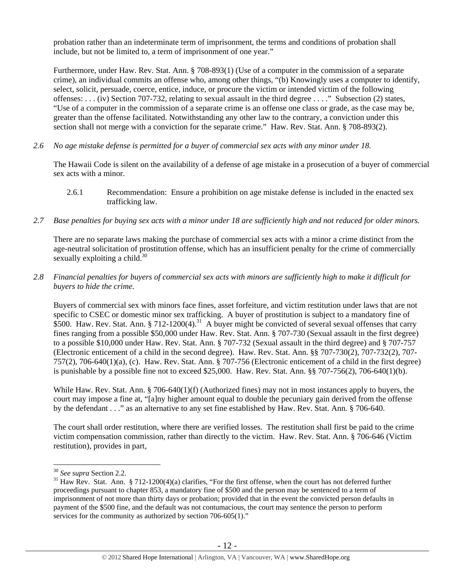probation rather than an indeterminate term of imprisonment, the terms and conditions of probation shall include, but not be limited to, a term of imprisonment of one year."

Furthermore, under Haw. Rev. Stat. Ann. § 708-893(1) (Use of a computer in the commission of a separate crime), an individual commits an offense who, among other things, "(b) Knowingly uses a computer to identify, select, solicit, persuade, coerce, entice, induce, or procure the victim or intended victim of the following offenses: . . . (iv) Section 707-732, relating to sexual assault in the third degree . . . ." Subsection (2) states, "Use of a computer in the commission of a separate crime is an offense one class or grade, as the case may be, greater than the offense facilitated. Notwithstanding any other law to the contrary, a conviction under this section shall not merge with a conviction for the separate crime." Haw. Rev. Stat. Ann. § 708-893(2).

*2.6 No age mistake defense is permitted for a buyer of commercial sex acts with any minor under 18.*

The Hawaii Code is silent on the availability of a defense of age mistake in a prosecution of a buyer of commercial sex acts with a minor.

- 2.6.1 Recommendation: Ensure a prohibition on age mistake defense is included in the enacted sex trafficking law.
- *2.7 Base penalties for buying sex acts with a minor under 18 are sufficiently high and not reduced for older minors.*

There are no separate laws making the purchase of commercial sex acts with a minor a crime distinct from the age-neutral solicitation of prostitution offense, which has an insufficient penalty for the crime of commercially sexually exploiting a child. $30$ 

*2.8 Financial penalties for buyers of commercial sex acts with minors are sufficiently high to make it difficult for buyers to hide the crime.*

Buyers of commercial sex with minors face fines, asset forfeiture, and victim restitution under laws that are not specific to CSEC or domestic minor sex trafficking. A buyer of prostitution is subject to a mandatory fine of \$500. Haw. Rev. Stat. Ann. § 712-1200(4).<sup>31</sup> A buyer might be convicted of several sexual offenses that carry fines ranging from a possible \$50,000 under Haw. Rev. Stat. Ann. § 707-730 (Sexual assault in the first degree) to a possible \$10,000 under Haw. Rev. Stat. Ann. § 707-732 (Sexual assault in the third degree) and § 707-757 (Electronic enticement of a child in the second degree). Haw. Rev. Stat. Ann. §§ 707-730(2), 707-732(2), 707- 757(2), 706-640(1)(a), (c). Haw. Rev. Stat. Ann. § 707-756 (Electronic enticement of a child in the first degree) is punishable by a possible fine not to exceed \$25,000. Haw. Rev. Stat. Ann.  $\S$ § 707-756(2), 706-640(1)(b).

While Haw. Rev. Stat. Ann. § 706-640(1)(f) (Authorized fines) may not in most instances apply to buyers, the court may impose a fine at, "[a]ny higher amount equal to double the pecuniary gain derived from the offense by the defendant . . ." as an alternative to any set fine established by Haw. Rev. Stat. Ann. § 706-640.

The court shall order restitution, where there are verified losses. The restitution shall first be paid to the crime victim compensation commission, rather than directly to the victim. Haw. Rev. Stat. Ann. § 706-646 (Victim restitution), provides in part,

<sup>&</sup>lt;sup>30</sup> *See supra* Section 2.2.<br><sup>31</sup> Haw Rev. Stat. Ann. § 712-1200(4)(a) clarifies, "For the first offense, when the court has not deferred further proceedings pursuant to chapter 853, a mandatory fine of \$500 and the person may be sentenced to a term of imprisonment of not more than thirty days or probation; provided that in the event the convicted person defaults in payment of the \$500 fine, and the default was not contumacious, the court may sentence the person to perform services for the community as authorized by section 706-605(1)."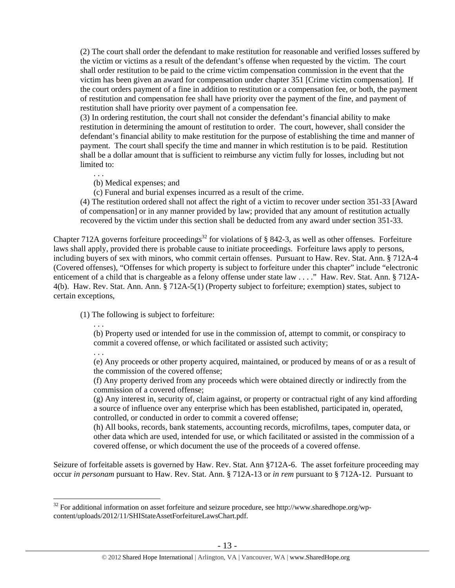(2) The court shall order the defendant to make restitution for reasonable and verified losses suffered by the victim or victims as a result of the defendant's offense when requested by the victim. The court shall order restitution to be paid to the crime victim compensation commission in the event that the victim has been given an award for compensation under chapter 351 [Crime victim compensation]. If the court orders payment of a fine in addition to restitution or a compensation fee, or both, the payment of restitution and compensation fee shall have priority over the payment of the fine, and payment of restitution shall have priority over payment of a compensation fee.

(3) In ordering restitution, the court shall not consider the defendant's financial ability to make restitution in determining the amount of restitution to order. The court, however, shall consider the defendant's financial ability to make restitution for the purpose of establishing the time and manner of payment. The court shall specify the time and manner in which restitution is to be paid. Restitution shall be a dollar amount that is sufficient to reimburse any victim fully for losses, including but not limited to:

. . .

 $\overline{a}$ 

(b) Medical expenses; and

(c) Funeral and burial expenses incurred as a result of the crime.

(4) The restitution ordered shall not affect the right of a victim to recover under section 351-33 [Award of compensation] or in any manner provided by law; provided that any amount of restitution actually recovered by the victim under this section shall be deducted from any award under section 351-33.

Chapter 712A governs forfeiture proceedings<sup>32</sup> for violations of § 842-3, as well as other offenses. Forfeiture laws shall apply, provided there is probable cause to initiate proceedings. Forfeiture laws apply to persons, including buyers of sex with minors, who commit certain offenses. Pursuant to Haw. Rev. Stat. Ann. § 712A-4 (Covered offenses), "Offenses for which property is subject to forfeiture under this chapter" include "electronic enticement of a child that is chargeable as a felony offense under state law . . . ." Haw. Rev. Stat. Ann. § 712A-4(b). Haw. Rev. Stat. Ann. Ann. § 712A-5(1) (Property subject to forfeiture; exemption) states, subject to certain exceptions,

(1) The following is subject to forfeiture:

. . . (b) Property used or intended for use in the commission of, attempt to commit, or conspiracy to commit a covered offense, or which facilitated or assisted such activity;

. . . (e) Any proceeds or other property acquired, maintained, or produced by means of or as a result of the commission of the covered offense;

(f) Any property derived from any proceeds which were obtained directly or indirectly from the commission of a covered offense;

(g) Any interest in, security of, claim against, or property or contractual right of any kind affording a source of influence over any enterprise which has been established, participated in, operated, controlled, or conducted in order to commit a covered offense;

(h) All books, records, bank statements, accounting records, microfilms, tapes, computer data, or other data which are used, intended for use, or which facilitated or assisted in the commission of a covered offense, or which document the use of the proceeds of a covered offense.

Seizure of forfeitable assets is governed by Haw. Rev. Stat. Ann §712A-6. The asset forfeiture proceeding may occur *in personam* pursuant to Haw. Rev. Stat. Ann. § 712A-13 or *in rem* pursuant to § 712A-12. Pursuant to

 $32$  For additional information on asset forfeiture and seizure procedure, see http://www.sharedhope.org/wpcontent/uploads/2012/11/SHIStateAssetForfeitureLawsChart.pdf.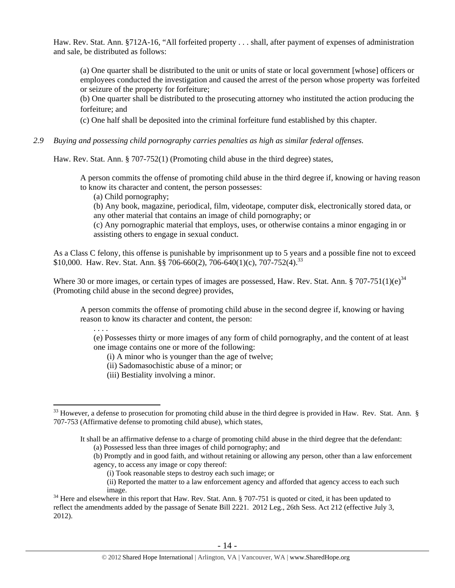Haw. Rev. Stat. Ann. §712A-16, "All forfeited property . . . shall, after payment of expenses of administration and sale, be distributed as follows:

(a) One quarter shall be distributed to the unit or units of state or local government [whose] officers or employees conducted the investigation and caused the arrest of the person whose property was forfeited or seizure of the property for forfeiture;

(b) One quarter shall be distributed to the prosecuting attorney who instituted the action producing the forfeiture; and

(c) One half shall be deposited into the criminal forfeiture fund established by this chapter.

*2.9 Buying and possessing child pornography carries penalties as high as similar federal offenses.*

Haw. Rev. Stat. Ann. § 707-752(1) (Promoting child abuse in the third degree) states,

A person commits the offense of promoting child abuse in the third degree if, knowing or having reason to know its character and content, the person possesses:

(a) Child pornography;

. . . .

 $\overline{a}$ 

(b) Any book, magazine, periodical, film, videotape, computer disk, electronically stored data, or any other material that contains an image of child pornography; or

(c) Any pornographic material that employs, uses, or otherwise contains a minor engaging in or assisting others to engage in sexual conduct.

As a Class C felony, this offense is punishable by imprisonment up to 5 years and a possible fine not to exceed \$10,000. Haw. Rev. Stat. Ann. §§ 706-660(2), 706-640(1)(c), 707-752(4).<sup>33</sup>

Where 30 or more images, or certain types of images are possessed, Haw. Rev. Stat. Ann. § 707-751(1)(e) $^{34}$ (Promoting child abuse in the second degree) provides,

A person commits the offense of promoting child abuse in the second degree if, knowing or having reason to know its character and content, the person:

(e) Possesses thirty or more images of any form of child pornography, and the content of at least one image contains one or more of the following:

(i) A minor who is younger than the age of twelve;

(ii) Sadomasochistic abuse of a minor; or

(iii) Bestiality involving a minor.

It shall be an affirmative defense to a charge of promoting child abuse in the third degree that the defendant: (a) Possessed less than three images of child pornography; and

- (b) Promptly and in good faith, and without retaining or allowing any person, other than a law enforcement agency, to access any image or copy thereof:
	- (i) Took reasonable steps to destroy each such image; or
	- (ii) Reported the matter to a law enforcement agency and afforded that agency access to each such

 $33$  However, a defense to prosecution for promoting child abuse in the third degree is provided in Haw. Rev. Stat. Ann.  $\S$ 707-753 (Affirmative defense to promoting child abuse), which states,

<sup>&</sup>lt;sup>34</sup> Here and elsewhere in this report that Haw. Rev. Stat. Ann. § 707-751 is quoted or cited, it has been updated to reflect the amendments added by the passage of Senate Bill 2221. 2012 Leg., 26th Sess. Act 212 (effective July 3, 2012).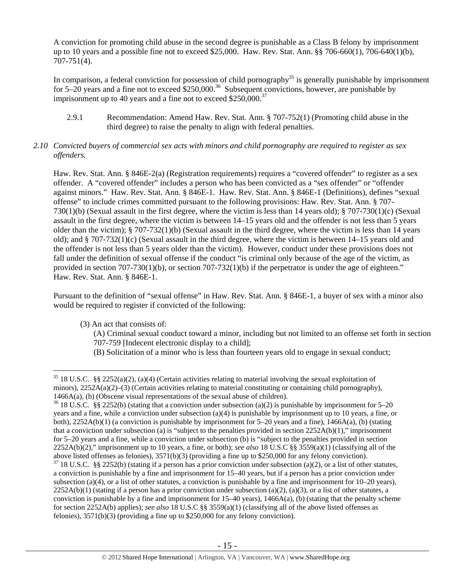A conviction for promoting child abuse in the second degree is punishable as a Class B felony by imprisonment up to 10 years and a possible fine not to exceed \$25,000. Haw. Rev. Stat. Ann. §§ 706-660(1), 706-640(1)(b), 707-751(4).

In comparison, a federal conviction for possession of child pornography<sup>35</sup> is generally punishable by imprisonment for 5–20 years and a fine not to exceed \$250,000.<sup>36</sup> Subsequent convictions, however, are punishable by imprisonment up to 40 years and a fine not to exceed  $$250,000.<sup>37</sup>$ 

- 2.9.1 Recommendation: Amend Haw. Rev. Stat. Ann. § 707-752(1) (Promoting child abuse in the third degree) to raise the penalty to align with federal penalties.
- *2.10 Convicted buyers of commercial sex acts with minors and child pornography are required to register as sex offenders.*

Haw. Rev. Stat. Ann. § 846E-2(a) (Registration requirements) requires a "covered offender" to register as a sex offender. A "covered offender" includes a person who has been convicted as a "sex offender" or "offender against minors." Haw. Rev. Stat. Ann. § 846E-1. Haw. Rev. Stat. Ann. § 846E-1 (Definitions), defines "sexual offense" to include crimes committed pursuant to the following provisions: Haw. Rev. Stat. Ann. § 707- 730(1)(b) (Sexual assault in the first degree, where the victim is less than 14 years old); § 707-730(1)(c) (Sexual assault in the first degree, where the victim is between 14–15 years old and the offender is not less than 5 years older than the victim); § 707-732(1)(b) (Sexual assault in the third degree, where the victim is less than 14 years old); and § 707-732(1)(c) (Sexual assault in the third degree, where the victim is between 14–15 years old and the offender is not less than 5 years older than the victim). However, conduct under these provisions does not fall under the definition of sexual offense if the conduct "is criminal only because of the age of the victim, as provided in section 707-730(1)(b), or section 707-732(1)(b) if the perpetrator is under the age of eighteen." Haw. Rev. Stat. Ann. § 846E-1.

Pursuant to the definition of "sexual offense" in Haw. Rev. Stat. Ann. § 846E-1, a buyer of sex with a minor also would be required to register if convicted of the following:

(3) An act that consists of:

- (A) Criminal sexual conduct toward a minor, including but not limited to an offense set forth in section 707-759 [Indecent electronic display to a child];
- (B) Solicitation of a minor who is less than fourteen years old to engage in sexual conduct;

<sup>&</sup>lt;sup>35</sup> 18 U.S.C. §§ 2252(a)(2), (a)(4) (Certain activities relating to material involving the sexual exploitation of minors),  $2252A(a)(2)$ –(3) (Certain activities relating to material constituting or containing child pornography), 1466A(a), (b) (Obscene visual representations of the sexual abuse of children).

<sup>&</sup>lt;sup>36</sup> 18 U.S.C. §§ 2252(b) (stating that a conviction under subsection (a)(2) is punishable by imprisonment for 5–20 years and a fine, while a conviction under subsection (a)(4) is punishable by imprisonment up to 10 years, a fine, or both),  $2252A(b)(1)$  (a conviction is punishable by imprisonment for 5–20 years and a fine),  $1466A(a)$ , (b) (stating that a conviction under subsection (a) is "subject to the penalties provided in section  $2252A(b)(1)$ ," imprisonment for 5–20 years and a fine, while a conviction under subsection (b) is "subject to the penalties provided in section 2252A(b)(2)," imprisonment up to 10 years, a fine, or both); *see also* 18 U.S.C §§ 3559(a)(1) (classifying all of the above listed offenses as felonies), 3571(b)(3) (providing a fine up to \$250,000 for any felony conviction).

 $37$  18 U.S.C. §§ 2252(b) (stating if a person has a prior conviction under subsection (a)(2), or a list of other statutes, a conviction is punishable by a fine and imprisonment for 15–40 years, but if a person has a prior conviction under subsection (a)(4), or a list of other statutes, a conviction is punishable by a fine and imprisonment for  $10-20$  years),  $2252A(b)(1)$  (stating if a person has a prior conviction under subsection (a)(2), (a)(3), or a list of other statutes, a conviction is punishable by a fine and imprisonment for 15–40 years), 1466A(a), (b) (stating that the penalty scheme for section 2252A(b) applies); *see also* 18 U.S.C §§ 3559(a)(1) (classifying all of the above listed offenses as felonies), 3571(b)(3) (providing a fine up to \$250,000 for any felony conviction).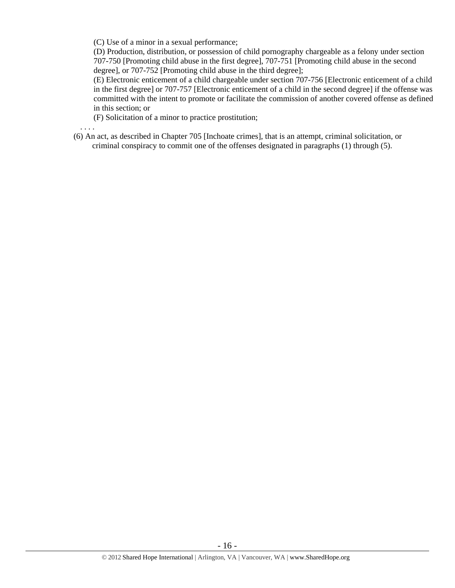(C) Use of a minor in a sexual performance;

(D) Production, distribution, or possession of child pornography chargeable as a felony under section 707-750 [Promoting child abuse in the first degree], 707-751 [Promoting child abuse in the second degree], or 707-752 [Promoting child abuse in the third degree];

(E) Electronic enticement of a child chargeable under section 707-756 [Electronic enticement of a child in the first degree] or 707-757 [Electronic enticement of a child in the second degree] if the offense was committed with the intent to promote or facilitate the commission of another covered offense as defined in this section; or

(F) Solicitation of a minor to practice prostitution;

. . . .

(6) An act, as described in Chapter 705 [Inchoate crimes], that is an attempt, criminal solicitation, or criminal conspiracy to commit one of the offenses designated in paragraphs (1) through (5).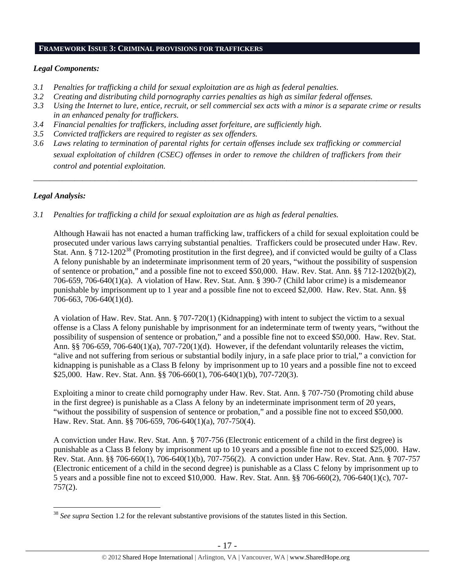#### **FRAMEWORK ISSUE 3: CRIMINAL PROVISIONS FOR TRAFFICKERS**

## *Legal Components:*

- *3.1 Penalties for trafficking a child for sexual exploitation are as high as federal penalties.*
- *3.2 Creating and distributing child pornography carries penalties as high as similar federal offenses.*
- *3.3 Using the Internet to lure, entice, recruit, or sell commercial sex acts with a minor is a separate crime or results in an enhanced penalty for traffickers.*
- *3.4 Financial penalties for traffickers, including asset forfeiture, are sufficiently high.*
- *3.5 Convicted traffickers are required to register as sex offenders.*
- *3.6 Laws relating to termination of parental rights for certain offenses include sex trafficking or commercial sexual exploitation of children (CSEC) offenses in order to remove the children of traffickers from their control and potential exploitation.*

*\_\_\_\_\_\_\_\_\_\_\_\_\_\_\_\_\_\_\_\_\_\_\_\_\_\_\_\_\_\_\_\_\_\_\_\_\_\_\_\_\_\_\_\_\_\_\_\_\_\_\_\_\_\_\_\_\_\_\_\_\_\_\_\_\_\_\_\_\_\_\_\_\_\_\_\_\_\_\_\_\_\_\_\_\_\_\_\_\_\_\_\_\_\_* 

# *Legal Analysis:*

 $\overline{a}$ 

*3.1 Penalties for trafficking a child for sexual exploitation are as high as federal penalties.* 

Although Hawaii has not enacted a human trafficking law, traffickers of a child for sexual exploitation could be prosecuted under various laws carrying substantial penalties. Traffickers could be prosecuted under Haw. Rev. Stat. Ann. § 712-1202<sup>38</sup> (Promoting prostitution in the first degree), and if convicted would be guilty of a Class A felony punishable by an indeterminate imprisonment term of 20 years, "without the possibility of suspension of sentence or probation," and a possible fine not to exceed \$50,000. Haw. Rev. Stat. Ann. §§ 712-1202(b)(2), 706-659, 706-640(1)(a). A violation of Haw. Rev. Stat. Ann. § 390-7 (Child labor crime) is a misdemeanor punishable by imprisonment up to 1 year and a possible fine not to exceed \$2,000. Haw. Rev. Stat. Ann. §§ 706-663, 706-640(1)(d).

A violation of Haw. Rev. Stat. Ann. § 707-720(1) (Kidnapping) with intent to subject the victim to a sexual offense is a Class A felony punishable by imprisonment for an indeterminate term of twenty years, "without the possibility of suspension of sentence or probation," and a possible fine not to exceed \$50,000. Haw. Rev. Stat. Ann. §§ 706-659, 706-640(1)(a), 707-720(1)(d). However, if the defendant voluntarily releases the victim, "alive and not suffering from serious or substantial bodily injury, in a safe place prior to trial," a conviction for kidnapping is punishable as a Class B felony by imprisonment up to 10 years and a possible fine not to exceed \$25,000. Haw. Rev. Stat. Ann. §§ 706-660(1), 706-640(1)(b), 707-720(3).

Exploiting a minor to create child pornography under Haw. Rev. Stat. Ann. § 707-750 (Promoting child abuse in the first degree) is punishable as a Class A felony by an indeterminate imprisonment term of 20 years, "without the possibility of suspension of sentence or probation," and a possible fine not to exceed \$50,000. Haw. Rev. Stat. Ann. §§ 706-659, 706-640(1)(a), 707-750(4).

A conviction under Haw. Rev. Stat. Ann. § 707-756 (Electronic enticement of a child in the first degree) is punishable as a Class B felony by imprisonment up to 10 years and a possible fine not to exceed \$25,000. Haw. Rev. Stat. Ann. §§ 706-660(1), 706-640(1)(b), 707-756(2). A conviction under Haw. Rev. Stat. Ann. § 707-757 (Electronic enticement of a child in the second degree) is punishable as a Class C felony by imprisonment up to 5 years and a possible fine not to exceed \$10,000. Haw. Rev. Stat. Ann. §§ 706-660(2), 706-640(1)(c), 707- 757(2).

<sup>38</sup> *See supra* Section 1.2 for the relevant substantive provisions of the statutes listed in this Section.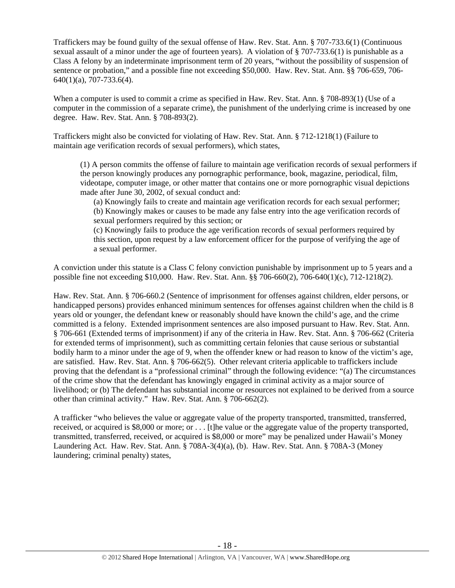Traffickers may be found guilty of the sexual offense of Haw. Rev. Stat. Ann. § 707-733.6(1) (Continuous sexual assault of a minor under the age of fourteen years). A violation of § 707-733.6(1) is punishable as a Class A felony by an indeterminate imprisonment term of 20 years, "without the possibility of suspension of sentence or probation," and a possible fine not exceeding \$50,000. Haw. Rev. Stat. Ann. §§ 706-659, 706- 640(1)(a), 707-733.6(4).

When a computer is used to commit a crime as specified in Haw. Rev. Stat. Ann. § 708-893(1) (Use of a computer in the commission of a separate crime), the punishment of the underlying crime is increased by one degree. Haw. Rev. Stat. Ann. § 708-893(2).

Traffickers might also be convicted for violating of Haw. Rev. Stat. Ann. § 712-1218(1) (Failure to maintain age verification records of sexual performers), which states,

(1) A person commits the offense of failure to maintain age verification records of sexual performers if the person knowingly produces any pornographic performance, book, magazine, periodical, film, videotape, computer image, or other matter that contains one or more pornographic visual depictions made after June 30, 2002, of sexual conduct and:

(a) Knowingly fails to create and maintain age verification records for each sexual performer; (b) Knowingly makes or causes to be made any false entry into the age verification records of sexual performers required by this section; or

(c) Knowingly fails to produce the age verification records of sexual performers required by this section, upon request by a law enforcement officer for the purpose of verifying the age of a sexual performer.

A conviction under this statute is a Class C felony conviction punishable by imprisonment up to 5 years and a possible fine not exceeding \$10,000. Haw. Rev. Stat. Ann. §§ 706-660(2), 706-640(1)(c), 712-1218(2).

Haw. Rev. Stat. Ann. § 706-660.2 (Sentence of imprisonment for offenses against children, elder persons, or handicapped persons) provides enhanced minimum sentences for offenses against children when the child is 8 years old or younger, the defendant knew or reasonably should have known the child's age, and the crime committed is a felony. Extended imprisonment sentences are also imposed pursuant to Haw. Rev. Stat. Ann. § 706-661 (Extended terms of imprisonment) if any of the criteria in Haw. Rev. Stat. Ann. § 706-662 (Criteria for extended terms of imprisonment), such as committing certain felonies that cause serious or substantial bodily harm to a minor under the age of 9, when the offender knew or had reason to know of the victim's age, are satisfied. Haw. Rev. Stat. Ann. § 706-662(5). Other relevant criteria applicable to traffickers include proving that the defendant is a "professional criminal" through the following evidence: "(a) The circumstances of the crime show that the defendant has knowingly engaged in criminal activity as a major source of livelihood; or (b) The defendant has substantial income or resources not explained to be derived from a source other than criminal activity." Haw. Rev. Stat. Ann. § 706-662(2).

A trafficker "who believes the value or aggregate value of the property transported, transmitted, transferred, received, or acquired is \$8,000 or more; or . . . [t]he value or the aggregate value of the property transported, transmitted, transferred, received, or acquired is \$8,000 or more" may be penalized under Hawaii's Money Laundering Act. Haw. Rev. Stat. Ann. § 708A-3(4)(a), (b). Haw. Rev. Stat. Ann. § 708A-3 (Money laundering; criminal penalty) states,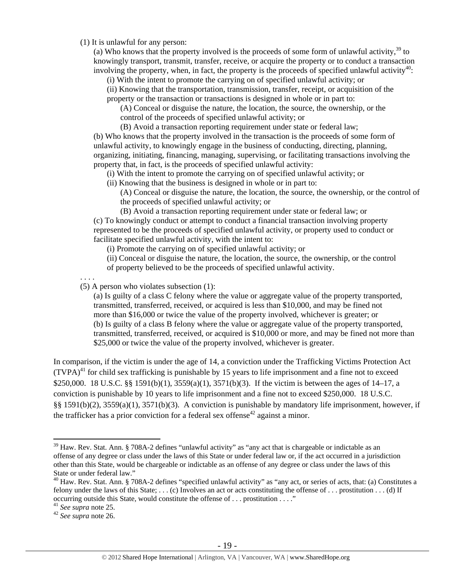(1) It is unlawful for any person:

(a) Who knows that the property involved is the proceeds of some form of unlawful activity,  $39$  to knowingly transport, transmit, transfer, receive, or acquire the property or to conduct a transaction involving the property, when, in fact, the property is the proceeds of specified unlawful activity<sup>40</sup>:

(i) With the intent to promote the carrying on of specified unlawful activity; or

(ii) Knowing that the transportation, transmission, transfer, receipt, or acquisition of the property or the transaction or transactions is designed in whole or in part to:

(A) Conceal or disguise the nature, the location, the source, the ownership, or the control of the proceeds of specified unlawful activity; or

(B) Avoid a transaction reporting requirement under state or federal law; (b) Who knows that the property involved in the transaction is the proceeds of some form of unlawful activity, to knowingly engage in the business of conducting, directing, planning, organizing, initiating, financing, managing, supervising, or facilitating transactions involving the property that, in fact, is the proceeds of specified unlawful activity:

(i) With the intent to promote the carrying on of specified unlawful activity; or

(ii) Knowing that the business is designed in whole or in part to:

(A) Conceal or disguise the nature, the location, the source, the ownership, or the control of the proceeds of specified unlawful activity; or

(B) Avoid a transaction reporting requirement under state or federal law; or (c) To knowingly conduct or attempt to conduct a financial transaction involving property represented to be the proceeds of specified unlawful activity, or property used to conduct or facilitate specified unlawful activity, with the intent to:

(i) Promote the carrying on of specified unlawful activity; or

(ii) Conceal or disguise the nature, the location, the source, the ownership, or the control of property believed to be the proceeds of specified unlawful activity.

. . . .

(5) A person who violates subsection (1):

(a) Is guilty of a class C felony where the value or aggregate value of the property transported, transmitted, transferred, received, or acquired is less than \$10,000, and may be fined not more than \$16,000 or twice the value of the property involved, whichever is greater; or (b) Is guilty of a class B felony where the value or aggregate value of the property transported, transmitted, transferred, received, or acquired is \$10,000 or more, and may be fined not more than \$25,000 or twice the value of the property involved, whichever is greater.

In comparison, if the victim is under the age of 14, a conviction under the Trafficking Victims Protection Act  $(TVPA)<sup>41</sup>$  for child sex trafficking is punishable by 15 years to life imprisonment and a fine not to exceed \$250,000. 18 U.S.C. §§ 1591(b)(1), 3559(a)(1), 3571(b)(3). If the victim is between the ages of 14–17, a conviction is punishable by 10 years to life imprisonment and a fine not to exceed \$250,000. 18 U.S.C. §§ 1591(b)(2), 3559(a)(1), 3571(b)(3). A conviction is punishable by mandatory life imprisonment, however, if the trafficker has a prior conviction for a federal sex offense<sup>42</sup> against a minor.

<sup>&</sup>lt;sup>39</sup> Haw. Rev. Stat. Ann. § 708A-2 defines "unlawful activity" as "any act that is chargeable or indictable as an offense of any degree or class under the laws of this State or under federal law or, if the act occurred in a jurisdiction other than this State, would be chargeable or indictable as an offense of any degree or class under the laws of this State or under federal law."

 $^{40}$  Haw. Rev. Stat. Ann. § 708A-2 defines "specified unlawful activity" as "any act, or series of acts, that: (a) Constitutes a felony under the laws of this State;  $\dots$  (c) Involves an act or acts constituting the offense of  $\dots$  prostitution  $\dots$  (d) If occurring outside this State, would constitute the offense of ... prostitution ...."<br><sup>41</sup> See supra note 25.

<sup>41</sup> *See supra* note 25. 42 *See supra* note 26.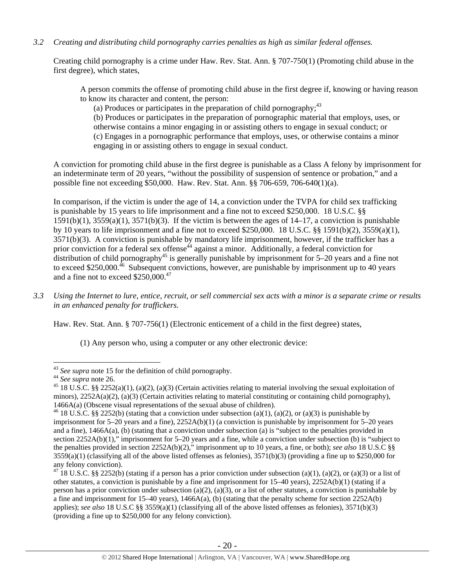## *3.2 Creating and distributing child pornography carries penalties as high as similar federal offenses.*

Creating child pornography is a crime under Haw. Rev. Stat. Ann. § 707-750(1) (Promoting child abuse in the first degree), which states,

A person commits the offense of promoting child abuse in the first degree if, knowing or having reason to know its character and content, the person:

(a) Produces or participates in the preparation of child pornography; $43$ 

(b) Produces or participates in the preparation of pornographic material that employs, uses, or otherwise contains a minor engaging in or assisting others to engage in sexual conduct; or (c) Engages in a pornographic performance that employs, uses, or otherwise contains a minor engaging in or assisting others to engage in sexual conduct.

A conviction for promoting child abuse in the first degree is punishable as a Class A felony by imprisonment for an indeterminate term of 20 years, "without the possibility of suspension of sentence or probation," and a possible fine not exceeding \$50,000. Haw. Rev. Stat. Ann. §§ 706-659, 706-640(1)(a).

In comparison, if the victim is under the age of 14, a conviction under the TVPA for child sex trafficking is punishable by 15 years to life imprisonment and a fine not to exceed \$250,000. 18 U.S.C. §§  $1591(b)(1)$ ,  $3559(a)(1)$ ,  $3571(b)(3)$ . If the victim is between the ages of  $14-17$ , a conviction is punishable by 10 years to life imprisonment and a fine not to exceed \$250,000. 18 U.S.C. §§ 1591(b)(2), 3559(a)(1), 3571(b)(3). A conviction is punishable by mandatory life imprisonment, however, if the trafficker has a prior conviction for a federal sex offense<sup> $44$ </sup> against a minor. Additionally, a federal conviction for distribution of child pornography<sup>45</sup> is generally punishable by imprisonment for  $5-20$  years and a fine not to exceed \$250,000.<sup>46</sup> Subsequent convictions, however, are punishable by imprisonment up to 40 years and a fine not to exceed \$250,000.<sup>47</sup>

*3.3 Using the Internet to lure, entice, recruit, or sell commercial sex acts with a minor is a separate crime or results in an enhanced penalty for traffickers.* 

Haw. Rev. Stat. Ann. § 707-756(1) (Electronic enticement of a child in the first degree) states,

(1) Any person who, using a computer or any other electronic device:

 $\overline{a}$ 

<sup>&</sup>lt;sup>43</sup> *See supra* note 15 for the definition of child pornography.<br><sup>44</sup> *See supra* note 26.<br><sup>45</sup> 18 U.S.C. §§ 2252(a)(1), (a)(2), (a)(3) (Certain activities relating to material involving the sexual exploitation of minors),  $2252A(a)(2)$ , (a)(3) (Certain activities relating to material constituting or containing child pornography), 1466A(a) (Obscene visual representations of the sexual abuse of children).<br><sup>46</sup> 18 U.S.C. §§ 2252(b) (stating that a conviction under subsection (a)(1), (a)(2), or (a)(3) is punishable by

imprisonment for 5–20 years and a fine), 2252A(b)(1) (a conviction is punishable by imprisonment for 5–20 years and a fine), 1466A(a), (b) (stating that a conviction under subsection (a) is "subject to the penalties provided in section 2252A(b)(1)," imprisonment for 5–20 years and a fine, while a conviction under subsection (b) is "subject to the penalties provided in section 2252A(b)(2)," imprisonment up to 10 years, a fine, or both); *see also* 18 U.S.C §§  $3559(a)(1)$  (classifying all of the above listed offenses as felonies),  $3571(b)(3)$  (providing a fine up to \$250,000 for any felony conviction).

<sup>&</sup>lt;sup>47</sup> 18 U.S.C. §§ 2252(b) (stating if a person has a prior conviction under subsection (a)(1), (a)(2), or (a)(3) or a list of other statutes, a conviction is punishable by a fine and imprisonment for 15–40 years), 2252A(b)(1) (stating if a person has a prior conviction under subsection (a)(2), (a)(3), or a list of other statutes, a conviction is punishable by a fine and imprisonment for 15–40 years), 1466A(a), (b) (stating that the penalty scheme for section 2252A(b) applies); *see also* 18 U.S.C §§ 3559(a)(1) (classifying all of the above listed offenses as felonies), 3571(b)(3) (providing a fine up to \$250,000 for any felony conviction).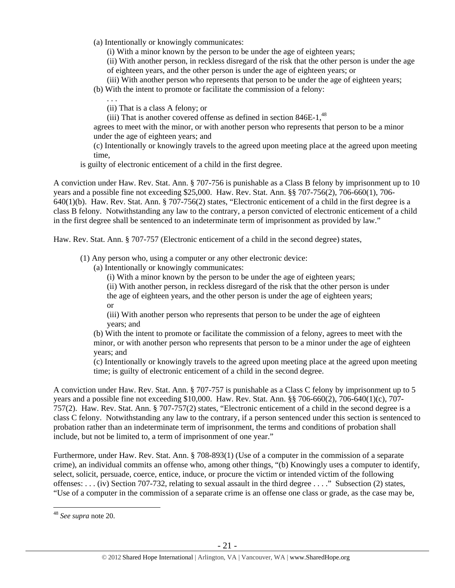(a) Intentionally or knowingly communicates:

(i) With a minor known by the person to be under the age of eighteen years;

(ii) With another person, in reckless disregard of the risk that the other person is under the age of eighteen years, and the other person is under the age of eighteen years; or

(iii) With another person who represents that person to be under the age of eighteen years;

(b) With the intent to promote or facilitate the commission of a felony:

. . .

(ii) That is a class A felony; or

(iii) That is another covered offense as defined in section  $846E-1$ ,  $48$ 

agrees to meet with the minor, or with another person who represents that person to be a minor under the age of eighteen years; and

(c) Intentionally or knowingly travels to the agreed upon meeting place at the agreed upon meeting time,

is guilty of electronic enticement of a child in the first degree.

A conviction under Haw. Rev. Stat. Ann. § 707-756 is punishable as a Class B felony by imprisonment up to 10 years and a possible fine not exceeding \$25,000. Haw. Rev. Stat. Ann. §§ 707-756(2), 706-660(1), 706- 640(1)(b). Haw. Rev. Stat. Ann. § 707-756(2) states, "Electronic enticement of a child in the first degree is a class B felony. Notwithstanding any law to the contrary, a person convicted of electronic enticement of a child in the first degree shall be sentenced to an indeterminate term of imprisonment as provided by law."

Haw. Rev. Stat. Ann. § 707-757 (Electronic enticement of a child in the second degree) states,

(1) Any person who, using a computer or any other electronic device:

(a) Intentionally or knowingly communicates:

(i) With a minor known by the person to be under the age of eighteen years;

(ii) With another person, in reckless disregard of the risk that the other person is under the age of eighteen years, and the other person is under the age of eighteen years;

or

(iii) With another person who represents that person to be under the age of eighteen years; and

(b) With the intent to promote or facilitate the commission of a felony, agrees to meet with the minor, or with another person who represents that person to be a minor under the age of eighteen years; and

(c) Intentionally or knowingly travels to the agreed upon meeting place at the agreed upon meeting time; is guilty of electronic enticement of a child in the second degree.

A conviction under Haw. Rev. Stat. Ann. § 707-757 is punishable as a Class C felony by imprisonment up to 5 years and a possible fine not exceeding \$10,000. Haw. Rev. Stat. Ann. §§ 706-660(2), 706-640(1)(c), 707- 757(2). Haw. Rev. Stat. Ann. § 707-757(2) states, "Electronic enticement of a child in the second degree is a class C felony. Notwithstanding any law to the contrary, if a person sentenced under this section is sentenced to probation rather than an indeterminate term of imprisonment, the terms and conditions of probation shall include, but not be limited to, a term of imprisonment of one year."

Furthermore, under Haw. Rev. Stat. Ann. § 708-893(1) (Use of a computer in the commission of a separate crime), an individual commits an offense who, among other things, "(b) Knowingly uses a computer to identify, select, solicit, persuade, coerce, entice, induce, or procure the victim or intended victim of the following offenses: . . . (iv) Section 707-732, relating to sexual assault in the third degree . . . ." Subsection (2) states, "Use of a computer in the commission of a separate crime is an offense one class or grade, as the case may be,

<sup>48</sup> *See supra* note 20.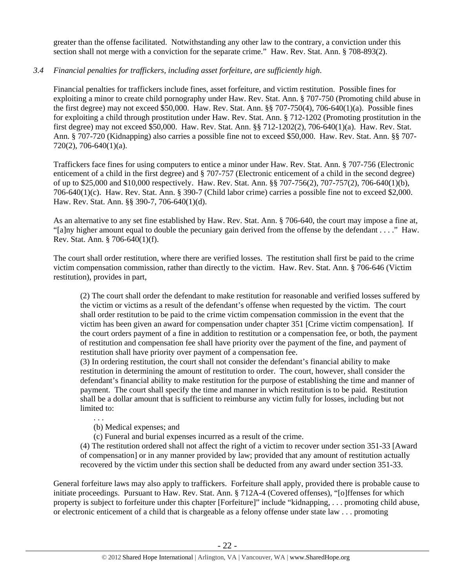greater than the offense facilitated. Notwithstanding any other law to the contrary, a conviction under this section shall not merge with a conviction for the separate crime." Haw. Rev. Stat. Ann. § 708-893(2).

## *3.4 Financial penalties for traffickers, including asset forfeiture, are sufficiently high*.

Financial penalties for traffickers include fines, asset forfeiture, and victim restitution. Possible fines for exploiting a minor to create child pornography under Haw. Rev. Stat. Ann. § 707-750 (Promoting child abuse in the first degree) may not exceed \$50,000. Haw. Rev. Stat. Ann. §§ 707-750(4), 706-640(1)(a). Possible fines for exploiting a child through prostitution under Haw. Rev. Stat. Ann. § 712-1202 (Promoting prostitution in the first degree) may not exceed \$50,000. Haw. Rev. Stat. Ann. §§ 712-1202(2), 706-640(1)(a). Haw. Rev. Stat. Ann. § 707-720 (Kidnapping) also carries a possible fine not to exceed \$50,000. Haw. Rev. Stat. Ann. §§ 707- 720(2), 706-640(1)(a).

Traffickers face fines for using computers to entice a minor under Haw. Rev. Stat. Ann. § 707-756 (Electronic enticement of a child in the first degree) and § 707-757 (Electronic enticement of a child in the second degree) of up to \$25,000 and \$10,000 respectively. Haw. Rev. Stat. Ann. §§ 707-756(2), 707-757(2), 706-640(1)(b), 706-640(1)(c). Haw. Rev. Stat. Ann. § 390-7 (Child labor crime) carries a possible fine not to exceed \$2,000. Haw. Rev. Stat. Ann. §§ 390-7, 706-640(1)(d).

As an alternative to any set fine established by Haw. Rev. Stat. Ann. § 706-640, the court may impose a fine at, "[a]ny higher amount equal to double the pecuniary gain derived from the offense by the defendant . . . ." Haw. Rev. Stat. Ann. § 706-640(1)(f).

The court shall order restitution, where there are verified losses. The restitution shall first be paid to the crime victim compensation commission, rather than directly to the victim. Haw. Rev. Stat. Ann. § 706-646 (Victim restitution), provides in part,

(2) The court shall order the defendant to make restitution for reasonable and verified losses suffered by the victim or victims as a result of the defendant's offense when requested by the victim. The court shall order restitution to be paid to the crime victim compensation commission in the event that the victim has been given an award for compensation under chapter 351 [Crime victim compensation]. If the court orders payment of a fine in addition to restitution or a compensation fee, or both, the payment of restitution and compensation fee shall have priority over the payment of the fine, and payment of restitution shall have priority over payment of a compensation fee.

(3) In ordering restitution, the court shall not consider the defendant's financial ability to make restitution in determining the amount of restitution to order. The court, however, shall consider the defendant's financial ability to make restitution for the purpose of establishing the time and manner of payment. The court shall specify the time and manner in which restitution is to be paid. Restitution shall be a dollar amount that is sufficient to reimburse any victim fully for losses, including but not limited to:

. . .

(b) Medical expenses; and

(c) Funeral and burial expenses incurred as a result of the crime.

(4) The restitution ordered shall not affect the right of a victim to recover under section 351-33 [Award of compensation] or in any manner provided by law; provided that any amount of restitution actually recovered by the victim under this section shall be deducted from any award under section 351-33.

General forfeiture laws may also apply to traffickers. Forfeiture shall apply, provided there is probable cause to initiate proceedings. Pursuant to Haw. Rev. Stat. Ann. § 712A-4 (Covered offenses), "[o]ffenses for which property is subject to forfeiture under this chapter [Forfeiture]" include "kidnapping, . . . promoting child abuse, or electronic enticement of a child that is chargeable as a felony offense under state law . . . promoting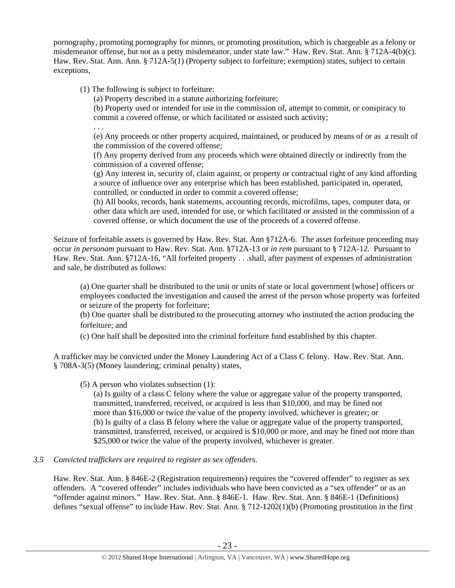pornography, promoting pornography for minors, or promoting prostitution, which is chargeable as a felony or misdemeanor offense, but not as a petty misdemeanor, under state law." Haw. Rev. Stat. Ann. § 712A-4(b)(c). Haw. Rev. Stat. Ann. Ann. § 712A-5(1) (Property subject to forfeiture; exemption) states, subject to certain exceptions,

(1) The following is subject to forfeiture:

(a) Property described in a statute authorizing forfeiture;

(b) Property used or intended for use in the commission of, attempt to commit, or conspiracy to commit a covered offense, or which facilitated or assisted such activity;

. . .

(e) Any proceeds or other property acquired, maintained, or produced by means of or as a result of the commission of the covered offense;

(f) Any property derived from any proceeds which were obtained directly or indirectly from the commission of a covered offense;

(g) Any interest in, security of, claim against, or property or contractual right of any kind affording a source of influence over any enterprise which has been established, participated in, operated, controlled, or conducted in order to commit a covered offense;

(h) All books, records, bank statements, accounting records, microfilms, tapes, computer data, or other data which are used, intended for use, or which facilitated or assisted in the commission of a covered offense, or which document the use of the proceeds of a covered offense.

Seizure of forfeitable assets is governed by Haw. Rev. Stat. Ann §712A-6. The asset forfeiture proceeding may occur *in personam* pursuant to Haw. Rev. Stat. Ann. §712A-13 or *in rem* pursuant to § 712A-12. Pursuant to Haw. Rev. Stat. Ann. §712A-16, "All forfeited property . . .shall, after payment of expenses of administration and sale, be distributed as follows:

(a) One quarter shall be distributed to the unit or units of state or local government [whose] officers or employees conducted the investigation and caused the arrest of the person whose property was forfeited or seizure of the property for forfeiture;

(b) One quarter shall be distributed to the prosecuting attorney who instituted the action producing the forfeiture; and

(c) One half shall be deposited into the criminal forfeiture fund established by this chapter.

A trafficker may be convicted under the Money Laundering Act of a Class C felony. Haw. Rev. Stat. Ann. § 708A-3(5) (Money laundering; criminal penalty) states,

(5) A person who violates subsection (1):

(a) Is guilty of a class C felony where the value or aggregate value of the property transported, transmitted, transferred, received, or acquired is less than \$10,000, and may be fined not more than \$16,000 or twice the value of the property involved, whichever is greater; or (b) Is guilty of a class B felony where the value or aggregate value of the property transported, transmitted, transferred, received, or acquired is \$10,000 or more, and may be fined not more than \$25,000 or twice the value of the property involved, whichever is greater.

# *3.5 Convicted traffickers are required to register as sex offenders.*

Haw. Rev. Stat. Ann. § 846E-2 (Registration requirements) requires the "covered offender" to register as sex offenders. A "covered offender" includes individuals who have been convicted as a "sex offender" or as an "offender against minors." Haw. Rev. Stat. Ann. § 846E-1. Haw. Rev. Stat. Ann. § 846E-1 (Definitions) defines "sexual offense" to include Haw. Rev. Stat. Ann. § 712-1202(1)(b) (Promoting prostitution in the first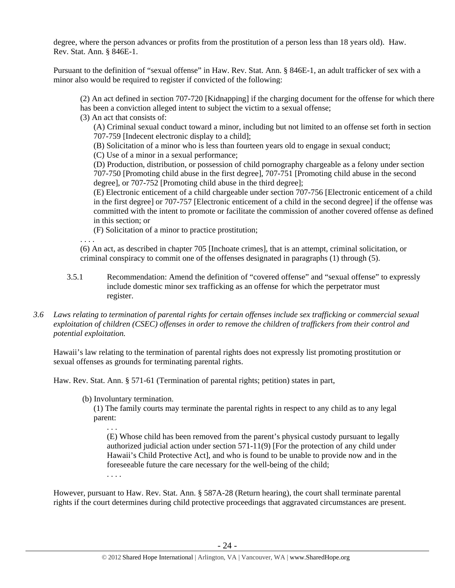degree, where the person advances or profits from the prostitution of a person less than 18 years old). Haw. Rev. Stat. Ann. § 846E-1.

Pursuant to the definition of "sexual offense" in Haw. Rev. Stat. Ann. § 846E-1, an adult trafficker of sex with a minor also would be required to register if convicted of the following:

(2) An act defined in section 707-720 [Kidnapping] if the charging document for the offense for which there has been a conviction alleged intent to subject the victim to a sexual offense;

(3) An act that consists of:

(A) Criminal sexual conduct toward a minor, including but not limited to an offense set forth in section 707-759 [Indecent electronic display to a child];

(B) Solicitation of a minor who is less than fourteen years old to engage in sexual conduct;

(C) Use of a minor in a sexual performance;

(D) Production, distribution, or possession of child pornography chargeable as a felony under section 707-750 [Promoting child abuse in the first degree], 707-751 [Promoting child abuse in the second degree], or 707-752 [Promoting child abuse in the third degree];

(E) Electronic enticement of a child chargeable under section 707-756 [Electronic enticement of a child in the first degree] or 707-757 [Electronic enticement of a child in the second degree] if the offense was committed with the intent to promote or facilitate the commission of another covered offense as defined in this section; or

(F) Solicitation of a minor to practice prostitution;

. . . .

(6) An act, as described in chapter 705 [Inchoate crimes], that is an attempt, criminal solicitation, or criminal conspiracy to commit one of the offenses designated in paragraphs (1) through (5).

- 3.5.1 Recommendation: Amend the definition of "covered offense" and "sexual offense" to expressly include domestic minor sex trafficking as an offense for which the perpetrator must register.
- *3.6 Laws relating to termination of parental rights for certain offenses include sex trafficking or commercial sexual exploitation of children (CSEC) offenses in order to remove the children of traffickers from their control and potential exploitation.*

Hawaii's law relating to the termination of parental rights does not expressly list promoting prostitution or sexual offenses as grounds for terminating parental rights.

Haw. Rev. Stat. Ann. § 571-61 (Termination of parental rights; petition) states in part,

(b) Involuntary termination.

(1) The family courts may terminate the parental rights in respect to any child as to any legal parent:

(E) Whose child has been removed from the parent's physical custody pursuant to legally authorized judicial action under section 571-11(9) [For the protection of any child under Hawaii's Child Protective Act], and who is found to be unable to provide now and in the foreseeable future the care necessary for the well-being of the child;

. . . .

. . .

However, pursuant to Haw. Rev. Stat. Ann. § 587A-28 (Return hearing), the court shall terminate parental rights if the court determines during child protective proceedings that aggravated circumstances are present.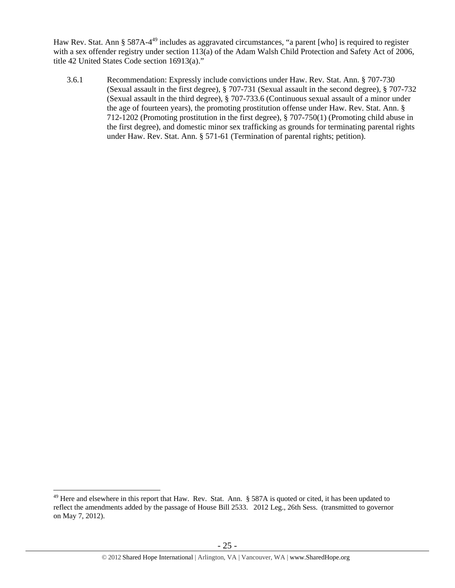Haw Rev. Stat. Ann § 587A-4<sup>49</sup> includes as aggravated circumstances, "a parent [who] is required to register with a sex offender registry under section 113(a) of the Adam Walsh Child Protection and Safety Act of 2006, title 42 United States Code section 16913(a)."

3.6.1 Recommendation: Expressly include convictions under Haw. Rev. Stat. Ann. § 707-730 (Sexual assault in the first degree), § 707-731 (Sexual assault in the second degree), § 707-732 (Sexual assault in the third degree), § 707-733.6 (Continuous sexual assault of a minor under the age of fourteen years), the promoting prostitution offense under Haw. Rev. Stat. Ann. § 712-1202 (Promoting prostitution in the first degree), § 707-750(1) (Promoting child abuse in the first degree), and domestic minor sex trafficking as grounds for terminating parental rights under Haw. Rev. Stat. Ann. § 571-61 (Termination of parental rights; petition).

<sup>&</sup>lt;sup>49</sup> Here and elsewhere in this report that Haw. Rev. Stat. Ann. § 587A is quoted or cited, it has been updated to reflect the amendments added by the passage of House Bill 2533. 2012 Leg., 26th Sess. (transmitted to governor on May 7, 2012).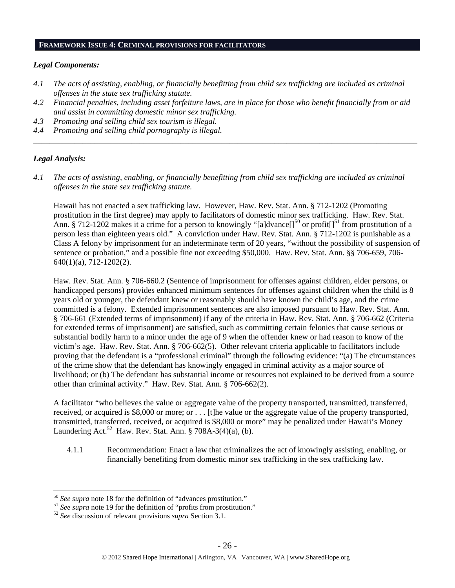#### **FRAMEWORK ISSUE 4: CRIMINAL PROVISIONS FOR FACILITATORS**

### *Legal Components:*

- *4.1 The acts of assisting, enabling, or financially benefitting from child sex trafficking are included as criminal offenses in the state sex trafficking statute.*
- *4.2 Financial penalties, including asset forfeiture laws, are in place for those who benefit financially from or aid and assist in committing domestic minor sex trafficking.*
- *4.3 Promoting and selling child sex tourism is illegal.*
- *4.4 Promoting and selling child pornography is illegal. \_\_\_\_\_\_\_\_\_\_\_\_\_\_\_\_\_\_\_\_\_\_\_\_\_\_\_\_\_\_\_\_\_\_\_\_\_\_\_\_\_\_\_\_\_\_\_\_\_\_\_\_\_\_\_\_\_\_\_\_\_\_\_\_\_\_\_\_\_\_\_\_\_\_\_\_\_\_\_\_\_\_\_\_\_\_\_\_\_\_\_\_\_\_*

# *Legal Analysis:*

 $\overline{a}$ 

*4.1 The acts of assisting, enabling, or financially benefitting from child sex trafficking are included as criminal offenses in the state sex trafficking statute.*

Hawaii has not enacted a sex trafficking law. However, Haw. Rev. Stat. Ann. § 712-1202 (Promoting prostitution in the first degree) may apply to facilitators of domestic minor sex trafficking. Haw. Rev. Stat. Ann. § 712-1202 makes it a crime for a person to knowingly "[a]dvance]<sup>50</sup> or profit[]<sup>51</sup> from prostitution of a person less than eighteen years old." A conviction under Haw. Rev. Stat. Ann. § 712-1202 is punishable as a Class A felony by imprisonment for an indeterminate term of 20 years, "without the possibility of suspension of sentence or probation," and a possible fine not exceeding \$50,000. Haw. Rev. Stat. Ann. §§ 706-659, 706- 640(1)(a), 712-1202(2).

Haw. Rev. Stat. Ann. § 706-660.2 (Sentence of imprisonment for offenses against children, elder persons, or handicapped persons) provides enhanced minimum sentences for offenses against children when the child is 8 years old or younger, the defendant knew or reasonably should have known the child's age, and the crime committed is a felony. Extended imprisonment sentences are also imposed pursuant to Haw. Rev. Stat. Ann. § 706-661 (Extended terms of imprisonment) if any of the criteria in Haw. Rev. Stat. Ann. § 706-662 (Criteria for extended terms of imprisonment) are satisfied, such as committing certain felonies that cause serious or substantial bodily harm to a minor under the age of 9 when the offender knew or had reason to know of the victim's age. Haw. Rev. Stat. Ann. § 706-662(5). Other relevant criteria applicable to facilitators include proving that the defendant is a "professional criminal" through the following evidence: "(a) The circumstances of the crime show that the defendant has knowingly engaged in criminal activity as a major source of livelihood; or (b) The defendant has substantial income or resources not explained to be derived from a source other than criminal activity." Haw. Rev. Stat. Ann. § 706-662(2).

A facilitator "who believes the value or aggregate value of the property transported, transmitted, transferred, received, or acquired is \$8,000 or more; or . . . [t]he value or the aggregate value of the property transported, transmitted, transferred, received, or acquired is \$8,000 or more" may be penalized under Hawaii's Money Laundering Act.<sup>52</sup> Haw. Rev. Stat. Ann. § 708A-3(4)(a), (b).

4.1.1 Recommendation: Enact a law that criminalizes the act of knowingly assisting, enabling, or financially benefiting from domestic minor sex trafficking in the sex trafficking law.

<sup>&</sup>lt;sup>50</sup> See supra note 18 for the definition of "advances prostitution."<br><sup>51</sup> See supra note 19 for the definition of "profits from prostitution."<br><sup>52</sup> See discussion of relevant provisions *supra* Section 3.1.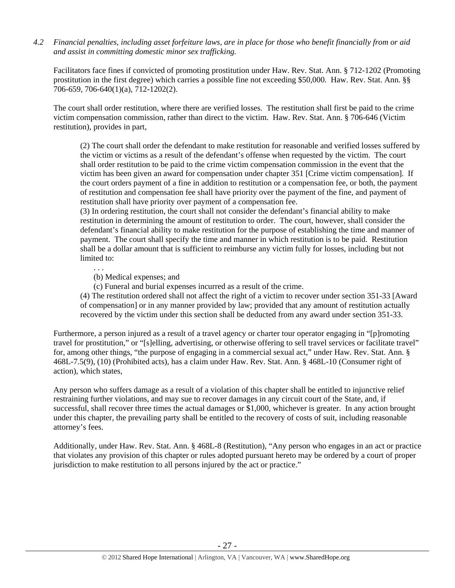*4.2 Financial penalties, including asset forfeiture laws, are in place for those who benefit financially from or aid and assist in committing domestic minor sex trafficking.* 

Facilitators face fines if convicted of promoting prostitution under Haw. Rev. Stat. Ann. § 712-1202 (Promoting prostitution in the first degree) which carries a possible fine not exceeding \$50,000. Haw. Rev. Stat. Ann. §§ 706-659, 706-640(1)(a), 712-1202(2).

The court shall order restitution, where there are verified losses. The restitution shall first be paid to the crime victim compensation commission, rather than direct to the victim. Haw. Rev. Stat. Ann. § 706-646 (Victim restitution), provides in part,

(2) The court shall order the defendant to make restitution for reasonable and verified losses suffered by the victim or victims as a result of the defendant's offense when requested by the victim. The court shall order restitution to be paid to the crime victim compensation commission in the event that the victim has been given an award for compensation under chapter 351 [Crime victim compensation]. If the court orders payment of a fine in addition to restitution or a compensation fee, or both, the payment of restitution and compensation fee shall have priority over the payment of the fine, and payment of restitution shall have priority over payment of a compensation fee.

(3) In ordering restitution, the court shall not consider the defendant's financial ability to make restitution in determining the amount of restitution to order. The court, however, shall consider the defendant's financial ability to make restitution for the purpose of establishing the time and manner of payment. The court shall specify the time and manner in which restitution is to be paid. Restitution shall be a dollar amount that is sufficient to reimburse any victim fully for losses, including but not limited to:

(b) Medical expenses; and

. . .

(c) Funeral and burial expenses incurred as a result of the crime.

(4) The restitution ordered shall not affect the right of a victim to recover under section 351-33 [Award of compensation] or in any manner provided by law; provided that any amount of restitution actually recovered by the victim under this section shall be deducted from any award under section 351-33.

Furthermore, a person injured as a result of a travel agency or charter tour operator engaging in "[p]romoting travel for prostitution," or "[s]elling, advertising, or otherwise offering to sell travel services or facilitate travel" for, among other things, "the purpose of engaging in a commercial sexual act," under Haw. Rev. Stat. Ann. § 468L-7.5(9), (10) (Prohibited acts), has a claim under Haw. Rev. Stat. Ann. § 468L-10 (Consumer right of action), which states,

Any person who suffers damage as a result of a violation of this chapter shall be entitled to injunctive relief restraining further violations, and may sue to recover damages in any circuit court of the State, and, if successful, shall recover three times the actual damages or \$1,000, whichever is greater. In any action brought under this chapter, the prevailing party shall be entitled to the recovery of costs of suit, including reasonable attorney's fees.

Additionally, under Haw. Rev. Stat. Ann. § 468L-8 (Restitution), "Any person who engages in an act or practice that violates any provision of this chapter or rules adopted pursuant hereto may be ordered by a court of proper jurisdiction to make restitution to all persons injured by the act or practice."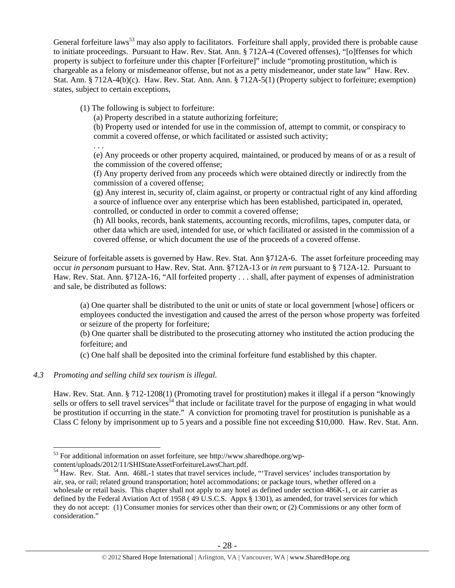General forfeiture laws<sup>53</sup> may also apply to facilitators. Forfeiture shall apply, provided there is probable cause to initiate proceedings. Pursuant to Haw. Rev. Stat. Ann. § 712A-4 (Covered offenses), "[o]ffenses for which property is subject to forfeiture under this chapter [Forfeiture]" include "promoting prostitution, which is chargeable as a felony or misdemeanor offense, but not as a petty misdemeanor, under state law" Haw. Rev. Stat. Ann. § 712A-4(b)(c). Haw. Rev. Stat. Ann. Ann. § 712A-5(1) (Property subject to forfeiture; exemption) states, subject to certain exceptions,

(1) The following is subject to forfeiture:

(a) Property described in a statute authorizing forfeiture;

(b) Property used or intended for use in the commission of, attempt to commit, or conspiracy to commit a covered offense, or which facilitated or assisted such activity;

. . .

(e) Any proceeds or other property acquired, maintained, or produced by means of or as a result of the commission of the covered offense;

(f) Any property derived from any proceeds which were obtained directly or indirectly from the commission of a covered offense;

(g) Any interest in, security of, claim against, or property or contractual right of any kind affording a source of influence over any enterprise which has been established, participated in, operated, controlled, or conducted in order to commit a covered offense;

(h) All books, records, bank statements, accounting records, microfilms, tapes, computer data, or other data which are used, intended for use, or which facilitated or assisted in the commission of a covered offense, or which document the use of the proceeds of a covered offense.

Seizure of forfeitable assets is governed by Haw. Rev. Stat. Ann §712A-6. The asset forfeiture proceeding may occur *in personam* pursuant to Haw. Rev. Stat. Ann. §712A-13 or *in rem* pursuant to § 712A-12. Pursuant to Haw. Rev. Stat. Ann. §712A-16, "All forfeited property . . . shall, after payment of expenses of administration and sale, be distributed as follows:

(a) One quarter shall be distributed to the unit or units of state or local government [whose] officers or employees conducted the investigation and caused the arrest of the person whose property was forfeited or seizure of the property for forfeiture;

(b) One quarter shall be distributed to the prosecuting attorney who instituted the action producing the forfeiture; and

(c) One half shall be deposited into the criminal forfeiture fund established by this chapter.

# *4.3 Promoting and selling child sex tourism is illegal*.

 $\overline{a}$ 

Haw. Rev. Stat. Ann. § 712-1208(1) (Promoting travel for prostitution) makes it illegal if a person "knowingly sells or offers to sell travel services<sup>54</sup> that include or facilitate travel for the purpose of engaging in what would be prostitution if occurring in the state." A conviction for promoting travel for prostitution is punishable as a Class C felony by imprisonment up to 5 years and a possible fine not exceeding \$10,000. Haw. Rev. Stat. Ann.

<sup>53</sup> For additional information on asset forfeiture, see http://www.sharedhope.org/wp-

content/uploads/2012/11/SHIStateAssetForfeitureLawsChart.pdf.<br><sup>54</sup> Haw. Rev. Stat. Ann. 468L-1 states that travel services include, "Travel services' includes transportation by air, sea, or rail; related ground transportation; hotel accommodations; or package tours, whether offered on a wholesale or retail basis. This chapter shall not apply to any hotel as defined under section 486K-1, or air carrier as defined by the Federal Aviation Act of 1958 (49 U.S.C.S. Appx § 1301), as amended, for travel services for which they do not accept: (1) Consumer monies for services other than their own; or (2) Commissions or any other form of consideration."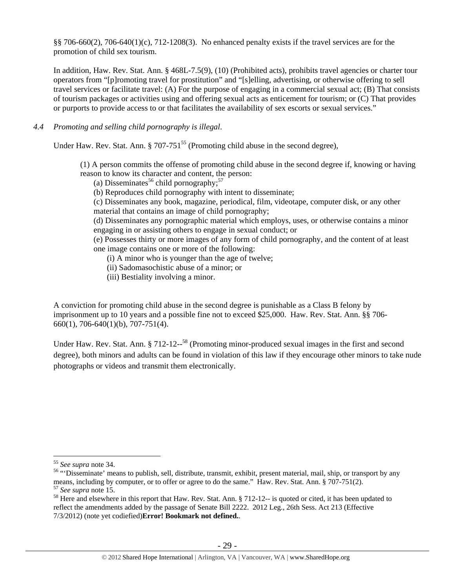§§ 706-660(2), 706-640(1)(c), 712-1208(3). No enhanced penalty exists if the travel services are for the promotion of child sex tourism.

In addition, Haw. Rev. Stat. Ann. § 468L-7.5(9), (10) (Prohibited acts), prohibits travel agencies or charter tour operators from "[p]romoting travel for prostitution" and "[s]elling, advertising, or otherwise offering to sell travel services or facilitate travel: (A) For the purpose of engaging in a commercial sexual act; (B) That consists of tourism packages or activities using and offering sexual acts as enticement for tourism; or (C) That provides or purports to provide access to or that facilitates the availability of sex escorts or sexual services."

### *4.4 Promoting and selling child pornography is illegal*.

Under Haw. Rev. Stat. Ann.  $\S 707-751^{55}$  (Promoting child abuse in the second degree),

(1) A person commits the offense of promoting child abuse in the second degree if, knowing or having reason to know its character and content, the person:

(a) Disseminates<sup>56</sup> child pornography;<sup>57</sup>

(b) Reproduces child pornography with intent to disseminate;

(c) Disseminates any book, magazine, periodical, film, videotape, computer disk, or any other material that contains an image of child pornography;

(d) Disseminates any pornographic material which employs, uses, or otherwise contains a minor engaging in or assisting others to engage in sexual conduct; or

(e) Possesses thirty or more images of any form of child pornography, and the content of at least one image contains one or more of the following:

(i) A minor who is younger than the age of twelve;

- (ii) Sadomasochistic abuse of a minor; or
- (iii) Bestiality involving a minor.

A conviction for promoting child abuse in the second degree is punishable as a Class B felony by imprisonment up to 10 years and a possible fine not to exceed \$25,000. Haw. Rev. Stat. Ann. §§ 706- 660(1), 706-640(1)(b), 707-751(4).

Under Haw. Rev. Stat. Ann. § 712-12--<sup>58</sup> (Promoting minor-produced sexual images in the first and second degree), both minors and adults can be found in violation of this law if they encourage other minors to take nude photographs or videos and transmit them electronically.

<sup>&</sup>lt;sup>55</sup> See supra note 34.<br><sup>56</sup> "Disseminate' means to publish, sell, distribute, transmit, exhibit, present material, mail, ship, or transport by any means, including by computer, or to offer or agree to do the same." Haw. Rev. Stat. Ann. § 707-751(2).<br><sup>57</sup> See supra note 15.<br><sup>58</sup> Here and elsewhere in this report that Haw. Rev. Stat. Ann. § 712-12-- is quoted or cited

reflect the amendments added by the passage of Senate Bill 2222. 2012 Leg., 26th Sess. Act 213 (Effective 7/3/2012) (note yet codiefied)**Error! Bookmark not defined.**.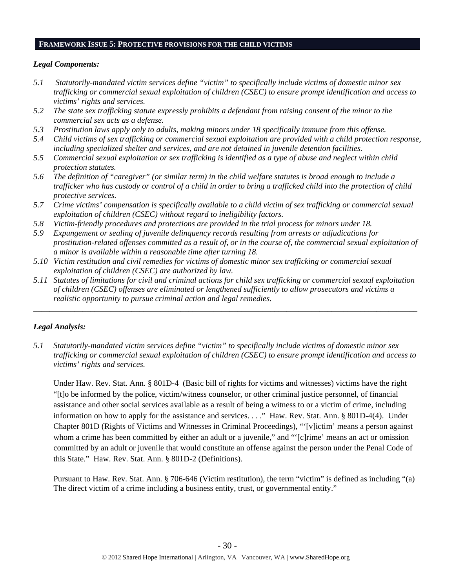#### **FRAMEWORK ISSUE 5: PROTECTIVE PROVISIONS FOR THE CHILD VICTIMS**

### *Legal Components:*

- *5.1 Statutorily-mandated victim services define "victim" to specifically include victims of domestic minor sex trafficking or commercial sexual exploitation of children (CSEC) to ensure prompt identification and access to victims' rights and services.*
- *5.2 The state sex trafficking statute expressly prohibits a defendant from raising consent of the minor to the commercial sex acts as a defense.*
- *5.3 Prostitution laws apply only to adults, making minors under 18 specifically immune from this offense.*
- *5.4 Child victims of sex trafficking or commercial sexual exploitation are provided with a child protection response, including specialized shelter and services, and are not detained in juvenile detention facilities.*
- *5.5 Commercial sexual exploitation or sex trafficking is identified as a type of abuse and neglect within child protection statutes.*
- *5.6 The definition of "caregiver" (or similar term) in the child welfare statutes is broad enough to include a trafficker who has custody or control of a child in order to bring a trafficked child into the protection of child protective services.*
- *5.7 Crime victims' compensation is specifically available to a child victim of sex trafficking or commercial sexual exploitation of children (CSEC) without regard to ineligibility factors.*
- *5.8 Victim-friendly procedures and protections are provided in the trial process for minors under 18.*
- *5.9 Expungement or sealing of juvenile delinquency records resulting from arrests or adjudications for prostitution-related offenses committed as a result of, or in the course of, the commercial sexual exploitation of a minor is available within a reasonable time after turning 18.*
- *5.10 Victim restitution and civil remedies for victims of domestic minor sex trafficking or commercial sexual exploitation of children (CSEC) are authorized by law.*
- *5.11 Statutes of limitations for civil and criminal actions for child sex trafficking or commercial sexual exploitation of children (CSEC) offenses are eliminated or lengthened sufficiently to allow prosecutors and victims a realistic opportunity to pursue criminal action and legal remedies.*

*\_\_\_\_\_\_\_\_\_\_\_\_\_\_\_\_\_\_\_\_\_\_\_\_\_\_\_\_\_\_\_\_\_\_\_\_\_\_\_\_\_\_\_\_\_\_\_\_\_\_\_\_\_\_\_\_\_\_\_\_\_\_\_\_\_\_\_\_\_\_\_\_\_\_\_\_\_\_\_\_\_\_\_\_\_\_\_\_\_\_\_\_\_\_* 

# *Legal Analysis:*

*5.1 Statutorily-mandated victim services define "victim" to specifically include victims of domestic minor sex trafficking or commercial sexual exploitation of children (CSEC) to ensure prompt identification and access to victims' rights and services.* 

Under Haw. Rev. Stat. Ann. § 801D-4 (Basic bill of rights for victims and witnesses) victims have the right "[t]o be informed by the police, victim/witness counselor, or other criminal justice personnel, of financial assistance and other social services available as a result of being a witness to or a victim of crime, including information on how to apply for the assistance and services. . . ." Haw. Rev. Stat. Ann. § 801D-4(4). Under Chapter 801D (Rights of Victims and Witnesses in Criminal Proceedings), "'[v]ictim' means a person against whom a crime has been committed by either an adult or a juvenile," and "'[c]rime' means an act or omission committed by an adult or juvenile that would constitute an offense against the person under the Penal Code of this State." Haw. Rev. Stat. Ann. § 801D-2 (Definitions).

Pursuant to Haw. Rev. Stat. Ann. § 706-646 (Victim restitution), the term "victim" is defined as including "(a) The direct victim of a crime including a business entity, trust, or governmental entity."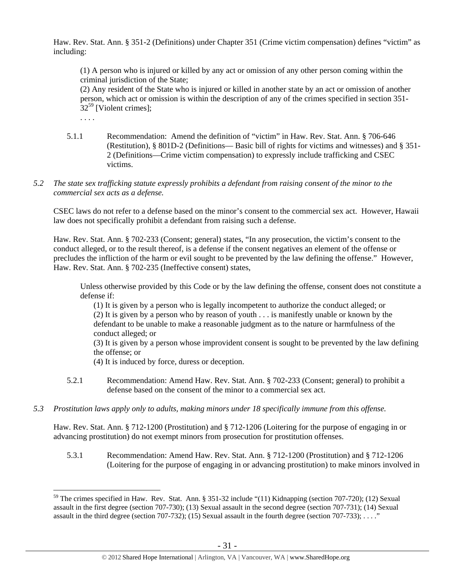Haw. Rev. Stat. Ann. § 351-2 (Definitions) under Chapter 351 (Crime victim compensation) defines "victim" as including:

(1) A person who is injured or killed by any act or omission of any other person coming within the criminal jurisdiction of the State;

(2) Any resident of the State who is injured or killed in another state by an act or omission of another person, which act or omission is within the description of any of the crimes specified in section 351-  $32^{59}$  [Violent crimes]:

. . . .

 $\overline{a}$ 

- 5.1.1 Recommendation: Amend the definition of "victim" in Haw. Rev. Stat. Ann. § 706-646 (Restitution), § 801D-2 (Definitions— Basic bill of rights for victims and witnesses) and § 351- 2 (Definitions—Crime victim compensation) to expressly include trafficking and CSEC victims.
- *5.2 The state sex trafficking statute expressly prohibits a defendant from raising consent of the minor to the commercial sex acts as a defense.*

CSEC laws do not refer to a defense based on the minor's consent to the commercial sex act. However, Hawaii law does not specifically prohibit a defendant from raising such a defense.

Haw. Rev. Stat. Ann. § 702-233 (Consent; general) states, "In any prosecution, the victim's consent to the conduct alleged, or to the result thereof, is a defense if the consent negatives an element of the offense or precludes the infliction of the harm or evil sought to be prevented by the law defining the offense." However, Haw. Rev. Stat. Ann. § 702-235 (Ineffective consent) states,

Unless otherwise provided by this Code or by the law defining the offense, consent does not constitute a defense if:

(1) It is given by a person who is legally incompetent to authorize the conduct alleged; or (2) It is given by a person who by reason of youth . . . is manifestly unable or known by the defendant to be unable to make a reasonable judgment as to the nature or harmfulness of the conduct alleged; or

(3) It is given by a person whose improvident consent is sought to be prevented by the law defining the offense; or

(4) It is induced by force, duress or deception.

- 5.2.1 Recommendation: Amend Haw. Rev. Stat. Ann. § 702-233 (Consent; general) to prohibit a defense based on the consent of the minor to a commercial sex act.
- *5.3 Prostitution laws apply only to adults, making minors under 18 specifically immune from this offense.*

Haw. Rev. Stat. Ann. § 712-1200 (Prostitution) and § 712-1206 (Loitering for the purpose of engaging in or advancing prostitution) do not exempt minors from prosecution for prostitution offenses.

5.3.1 Recommendation: Amend Haw. Rev. Stat. Ann. § 712-1200 (Prostitution) and § 712-1206 (Loitering for the purpose of engaging in or advancing prostitution) to make minors involved in

<sup>&</sup>lt;sup>59</sup> The crimes specified in Haw. Rev. Stat. Ann. § 351-32 include "(11) Kidnapping (section 707-720); (12) Sexual assault in the first degree (section 707-730); (13) Sexual assault in the second degree (section 707-731); (14) Sexual assault in the third degree (section 707-732); (15) Sexual assault in the fourth degree (section 707-733);  $\dots$ "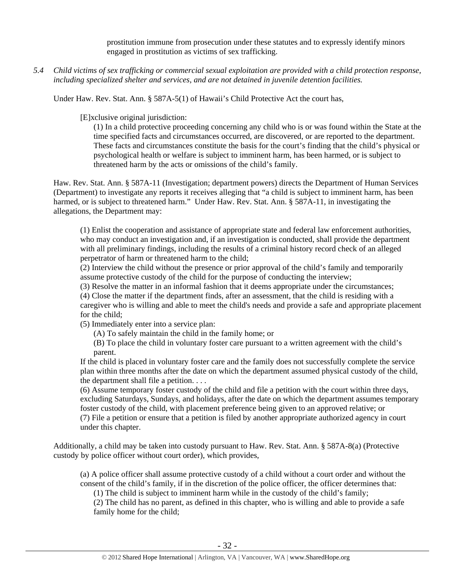prostitution immune from prosecution under these statutes and to expressly identify minors engaged in prostitution as victims of sex trafficking.

*5.4 Child victims of sex trafficking or commercial sexual exploitation are provided with a child protection response, including specialized shelter and services, and are not detained in juvenile detention facilities.* 

Under Haw. Rev. Stat. Ann. § 587A-5(1) of Hawaii's Child Protective Act the court has,

[E]xclusive original jurisdiction:

(1) In a child protective proceeding concerning any child who is or was found within the State at the time specified facts and circumstances occurred, are discovered, or are reported to the department. These facts and circumstances constitute the basis for the court's finding that the child's physical or psychological health or welfare is subject to imminent harm, has been harmed, or is subject to threatened harm by the acts or omissions of the child's family.

Haw. Rev. Stat. Ann. § 587A-11 (Investigation; department powers) directs the Department of Human Services (Department) to investigate any reports it receives alleging that "a child is subject to imminent harm, has been harmed, or is subject to threatened harm." Under Haw. Rev. Stat. Ann. § 587A-11, in investigating the allegations, the Department may:

(1) Enlist the cooperation and assistance of appropriate state and federal law enforcement authorities, who may conduct an investigation and, if an investigation is conducted, shall provide the department with all preliminary findings, including the results of a criminal history record check of an alleged perpetrator of harm or threatened harm to the child;

(2) Interview the child without the presence or prior approval of the child's family and temporarily assume protective custody of the child for the purpose of conducting the interview;

(3) Resolve the matter in an informal fashion that it deems appropriate under the circumstances;

(4) Close the matter if the department finds, after an assessment, that the child is residing with a caregiver who is willing and able to meet the child's needs and provide a safe and appropriate placement for the child;

(5) Immediately enter into a service plan:

(A) To safely maintain the child in the family home; or

(B) To place the child in voluntary foster care pursuant to a written agreement with the child's parent.

If the child is placed in voluntary foster care and the family does not successfully complete the service plan within three months after the date on which the department assumed physical custody of the child, the department shall file a petition. . . .

(6) Assume temporary foster custody of the child and file a petition with the court within three days, excluding Saturdays, Sundays, and holidays, after the date on which the department assumes temporary foster custody of the child, with placement preference being given to an approved relative; or (7) File a petition or ensure that a petition is filed by another appropriate authorized agency in court under this chapter.

Additionally, a child may be taken into custody pursuant to Haw. Rev. Stat. Ann. § 587A-8(a) (Protective custody by police officer without court order), which provides,

(a) A police officer shall assume protective custody of a child without a court order and without the consent of the child's family, if in the discretion of the police officer, the officer determines that:

(1) The child is subject to imminent harm while in the custody of the child's family;

(2) The child has no parent, as defined in this chapter, who is willing and able to provide a safe family home for the child;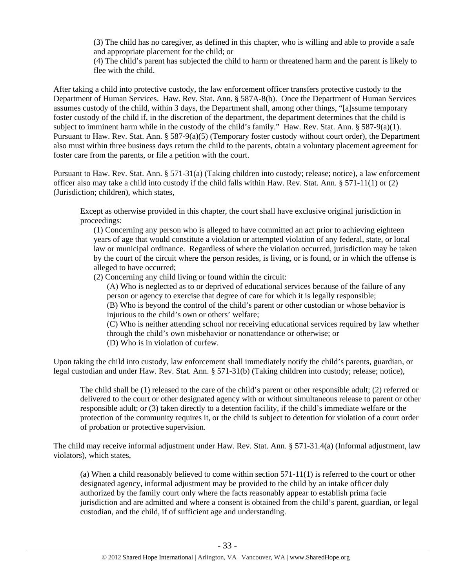(3) The child has no caregiver, as defined in this chapter, who is willing and able to provide a safe and appropriate placement for the child; or

(4) The child's parent has subjected the child to harm or threatened harm and the parent is likely to flee with the child.

After taking a child into protective custody, the law enforcement officer transfers protective custody to the Department of Human Services. Haw. Rev. Stat. Ann. § 587A-8(b). Once the Department of Human Services assumes custody of the child, within 3 days, the Department shall, among other things, "[a]ssume temporary foster custody of the child if, in the discretion of the department, the department determines that the child is subject to imminent harm while in the custody of the child's family." Haw. Rev. Stat. Ann. § 587-9(a)(1). Pursuant to Haw. Rev. Stat. Ann. § 587-9(a)(5) (Temporary foster custody without court order), the Department also must within three business days return the child to the parents, obtain a voluntary placement agreement for foster care from the parents, or file a petition with the court.

Pursuant to Haw. Rev. Stat. Ann. § 571-31(a) (Taking children into custody; release; notice), a law enforcement officer also may take a child into custody if the child falls within Haw. Rev. Stat. Ann. § 571-11(1) or (2) (Jurisdiction; children), which states,

Except as otherwise provided in this chapter, the court shall have exclusive original jurisdiction in proceedings:

(1) Concerning any person who is alleged to have committed an act prior to achieving eighteen years of age that would constitute a violation or attempted violation of any federal, state, or local law or municipal ordinance. Regardless of where the violation occurred, jurisdiction may be taken by the court of the circuit where the person resides, is living, or is found, or in which the offense is alleged to have occurred;

(2) Concerning any child living or found within the circuit:

(A) Who is neglected as to or deprived of educational services because of the failure of any person or agency to exercise that degree of care for which it is legally responsible; (B) Who is beyond the control of the child's parent or other custodian or whose behavior is injurious to the child's own or others' welfare;

(C) Who is neither attending school nor receiving educational services required by law whether through the child's own misbehavior or nonattendance or otherwise; or (D) Who is in violation of curfew.

Upon taking the child into custody, law enforcement shall immediately notify the child's parents, guardian, or legal custodian and under Haw. Rev. Stat. Ann. § 571-31(b) (Taking children into custody; release; notice),

The child shall be (1) released to the care of the child's parent or other responsible adult; (2) referred or delivered to the court or other designated agency with or without simultaneous release to parent or other responsible adult; or (3) taken directly to a detention facility, if the child's immediate welfare or the protection of the community requires it, or the child is subject to detention for violation of a court order of probation or protective supervision.

The child may receive informal adjustment under Haw. Rev. Stat. Ann. § 571-31.4(a) (Informal adjustment, law violators), which states,

(a) When a child reasonably believed to come within section 571-11(1) is referred to the court or other designated agency, informal adjustment may be provided to the child by an intake officer duly authorized by the family court only where the facts reasonably appear to establish prima facie jurisdiction and are admitted and where a consent is obtained from the child's parent, guardian, or legal custodian, and the child, if of sufficient age and understanding.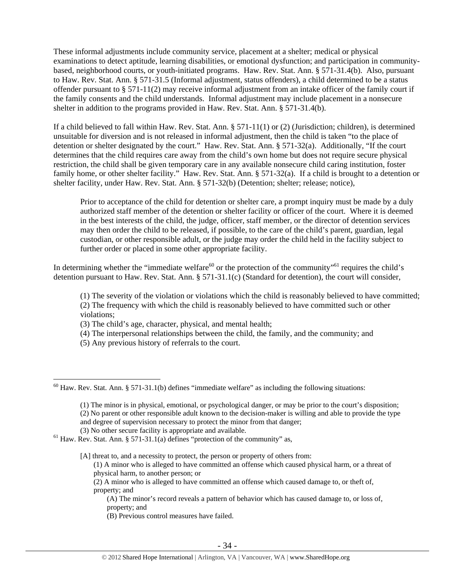These informal adjustments include community service, placement at a shelter; medical or physical examinations to detect aptitude, learning disabilities, or emotional dysfunction; and participation in communitybased, neighborhood courts, or youth-initiated programs. Haw. Rev. Stat. Ann. § 571-31.4(b). Also, pursuant to Haw. Rev. Stat. Ann. § 571-31.5 (Informal adjustment, status offenders), a child determined to be a status offender pursuant to § 571-11(2) may receive informal adjustment from an intake officer of the family court if the family consents and the child understands. Informal adjustment may include placement in a nonsecure shelter in addition to the programs provided in Haw. Rev. Stat. Ann. § 571-31.4(b).

If a child believed to fall within Haw. Rev. Stat. Ann. § 571-11(1) or (2) (Jurisdiction; children), is determined unsuitable for diversion and is not released in informal adjustment, then the child is taken "to the place of detention or shelter designated by the court." Haw. Rev. Stat. Ann. § 571-32(a). Additionally, "If the court determines that the child requires care away from the child's own home but does not require secure physical restriction, the child shall be given temporary care in any available nonsecure child caring institution, foster family home, or other shelter facility." Haw. Rev. Stat. Ann. § 571-32(a). If a child is brought to a detention or shelter facility, under Haw. Rev. Stat. Ann. § 571-32(b) (Detention; shelter; release; notice),

Prior to acceptance of the child for detention or shelter care, a prompt inquiry must be made by a duly authorized staff member of the detention or shelter facility or officer of the court. Where it is deemed in the best interests of the child, the judge, officer, staff member, or the director of detention services may then order the child to be released, if possible, to the care of the child's parent, guardian, legal custodian, or other responsible adult, or the judge may order the child held in the facility subject to further order or placed in some other appropriate facility.

In determining whether the "immediate welfare<sup>60</sup> or the protection of the community"<sup>61</sup> requires the child's detention pursuant to Haw. Rev. Stat. Ann. § 571-31.1(c) (Standard for detention), the court will consider,

(1) The severity of the violation or violations which the child is reasonably believed to have committed; (2) The frequency with which the child is reasonably believed to have committed such or other violations;

(3) The child's age, character, physical, and mental health;

(4) The interpersonal relationships between the child, the family, and the community; and

(5) Any previous history of referrals to the court.

 $\overline{a}$ 

(2) A minor who is alleged to have committed an offense which caused damage to, or theft of, property; and

(A) The minor's record reveals a pattern of behavior which has caused damage to, or loss of, property; and

(B) Previous control measures have failed.

 $60$  Haw. Rev. Stat. Ann. § 571-31.1(b) defines "immediate welfare" as including the following situations:

<sup>(1)</sup> The minor is in physical, emotional, or psychological danger, or may be prior to the court's disposition; (2) No parent or other responsible adult known to the decision-maker is willing and able to provide the type and degree of supervision necessary to protect the minor from that danger;

<sup>(3)</sup> No other secure facility is appropriate and available.<br><sup>61</sup> Haw. Rev. Stat. Ann. § 571-31.1(a) defines "protection of the community" as,

<sup>[</sup>A] threat to, and a necessity to protect, the person or property of others from:

<sup>(1)</sup> A minor who is alleged to have committed an offense which caused physical harm, or a threat of physical harm, to another person; or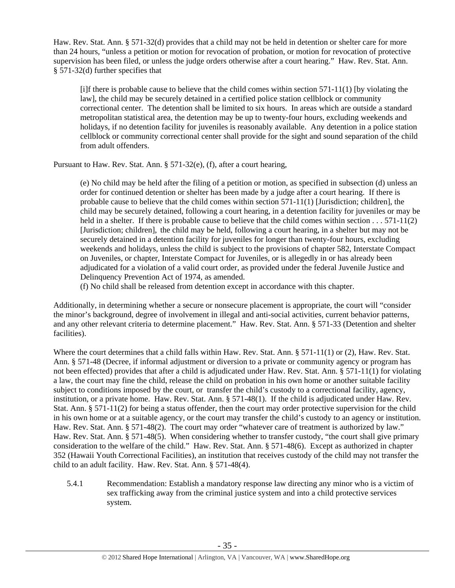Haw. Rev. Stat. Ann. § 571-32(d) provides that a child may not be held in detention or shelter care for more than 24 hours, "unless a petition or motion for revocation of probation, or motion for revocation of protective supervision has been filed, or unless the judge orders otherwise after a court hearing." Haw. Rev. Stat. Ann. § 571-32(d) further specifies that

[i]f there is probable cause to believe that the child comes within section 571-11(1) [by violating the law], the child may be securely detained in a certified police station cellblock or community correctional center. The detention shall be limited to six hours. In areas which are outside a standard metropolitan statistical area, the detention may be up to twenty-four hours, excluding weekends and holidays, if no detention facility for juveniles is reasonably available. Any detention in a police station cellblock or community correctional center shall provide for the sight and sound separation of the child from adult offenders.

Pursuant to Haw. Rev. Stat. Ann. § 571-32(e), (f), after a court hearing,

(e) No child may be held after the filing of a petition or motion, as specified in subsection (d) unless an order for continued detention or shelter has been made by a judge after a court hearing. If there is probable cause to believe that the child comes within section 571-11(1) [Jurisdiction; children], the child may be securely detained, following a court hearing, in a detention facility for juveniles or may be held in a shelter. If there is probable cause to believe that the child comes within section . . . 571-11(2) [Jurisdiction; children], the child may be held, following a court hearing, in a shelter but may not be securely detained in a detention facility for juveniles for longer than twenty-four hours, excluding weekends and holidays, unless the child is subject to the provisions of chapter 582, Interstate Compact on Juveniles, or chapter, Interstate Compact for Juveniles, or is allegedly in or has already been adjudicated for a violation of a valid court order, as provided under the federal Juvenile Justice and Delinquency Prevention Act of 1974, as amended.

(f) No child shall be released from detention except in accordance with this chapter.

Additionally, in determining whether a secure or nonsecure placement is appropriate, the court will "consider the minor's background, degree of involvement in illegal and anti-social activities, current behavior patterns, and any other relevant criteria to determine placement." Haw. Rev. Stat. Ann. § 571-33 (Detention and shelter facilities).

Where the court determines that a child falls within Haw. Rev. Stat. Ann. § 571-11(1) or (2), Haw. Rev. Stat. Ann. § 571-48 (Decree, if informal adjustment or diversion to a private or community agency or program has not been effected) provides that after a child is adjudicated under Haw. Rev. Stat. Ann. § 571-11(1) for violating a law, the court may fine the child, release the child on probation in his own home or another suitable facility subject to conditions imposed by the court, or transfer the child's custody to a correctional facility, agency, institution, or a private home. Haw. Rev. Stat. Ann. § 571-48(1). If the child is adjudicated under Haw. Rev. Stat. Ann. § 571-11(2) for being a status offender, then the court may order protective supervision for the child in his own home or at a suitable agency, or the court may transfer the child's custody to an agency or institution. Haw. Rev. Stat. Ann. § 571-48(2). The court may order "whatever care of treatment is authorized by law." Haw. Rev. Stat. Ann. § 571-48(5). When considering whether to transfer custody, "the court shall give primary consideration to the welfare of the child." Haw. Rev. Stat. Ann. § 571-48(6). Except as authorized in chapter 352 (Hawaii Youth Correctional Facilities), an institution that receives custody of the child may not transfer the child to an adult facility. Haw. Rev. Stat. Ann. § 571-48(4).

5.4.1 Recommendation: Establish a mandatory response law directing any minor who is a victim of sex trafficking away from the criminal justice system and into a child protective services system.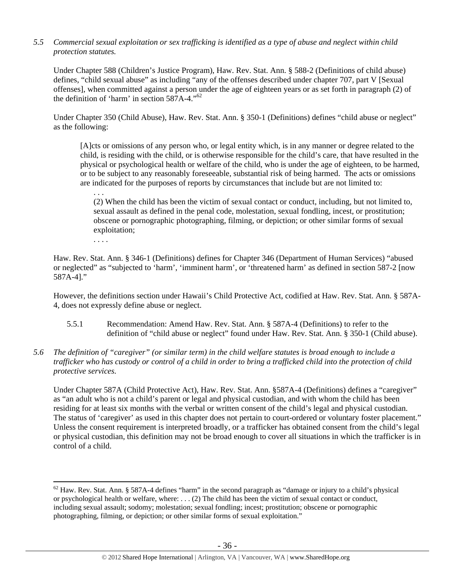## *5.5 Commercial sexual exploitation or sex trafficking is identified as a type of abuse and neglect within child protection statutes.*

Under Chapter 588 (Children's Justice Program), Haw. Rev. Stat. Ann. § 588-2 (Definitions of child abuse) defines, "child sexual abuse" as including "any of the offenses described under chapter 707, part V [Sexual offenses], when committed against a person under the age of eighteen years or as set forth in paragraph (2) of the definition of 'harm' in section 587A-4."62

Under Chapter 350 (Child Abuse), Haw. Rev. Stat. Ann. § 350-1 (Definitions) defines "child abuse or neglect" as the following:

[A]cts or omissions of any person who, or legal entity which, is in any manner or degree related to the child, is residing with the child, or is otherwise responsible for the child's care, that have resulted in the physical or psychological health or welfare of the child, who is under the age of eighteen, to be harmed, or to be subject to any reasonably foreseeable, substantial risk of being harmed. The acts or omissions are indicated for the purposes of reports by circumstances that include but are not limited to:

. . . (2) When the child has been the victim of sexual contact or conduct, including, but not limited to, sexual assault as defined in the penal code, molestation, sexual fondling, incest, or prostitution; obscene or pornographic photographing, filming, or depiction; or other similar forms of sexual exploitation;

. . . .

Haw. Rev. Stat. Ann. § 346-1 (Definitions) defines for Chapter 346 (Department of Human Services) "abused or neglected" as "subjected to 'harm', 'imminent harm', or 'threatened harm' as defined in section 587-2 [now 587A-4]."

However, the definitions section under Hawaii's Child Protective Act, codified at Haw. Rev. Stat. Ann. § 587A-4, does not expressly define abuse or neglect.

- 5.5.1 Recommendation: Amend Haw. Rev. Stat. Ann. § 587A-4 (Definitions) to refer to the definition of "child abuse or neglect" found under Haw. Rev. Stat. Ann. § 350-1 (Child abuse).
- *5.6 The definition of "caregiver" (or similar term) in the child welfare statutes is broad enough to include a trafficker who has custody or control of a child in order to bring a trafficked child into the protection of child protective services.*

Under Chapter 587A (Child Protective Act), Haw. Rev. Stat. Ann. §587A-4 (Definitions) defines a "caregiver" as "an adult who is not a child's parent or legal and physical custodian, and with whom the child has been residing for at least six months with the verbal or written consent of the child's legal and physical custodian. The status of 'caregiver' as used in this chapter does not pertain to court-ordered or voluntary foster placement." Unless the consent requirement is interpreted broadly, or a trafficker has obtained consent from the child's legal or physical custodian, this definition may not be broad enough to cover all situations in which the trafficker is in control of a child.

 $\overline{a}$  $62$  Haw. Rev. Stat. Ann. § 587A-4 defines "harm" in the second paragraph as "damage or injury to a child's physical or psychological health or welfare, where: . . . (2) The child has been the victim of sexual contact or conduct, including sexual assault; sodomy; molestation; sexual fondling; incest; prostitution; obscene or pornographic photographing, filming, or depiction; or other similar forms of sexual exploitation."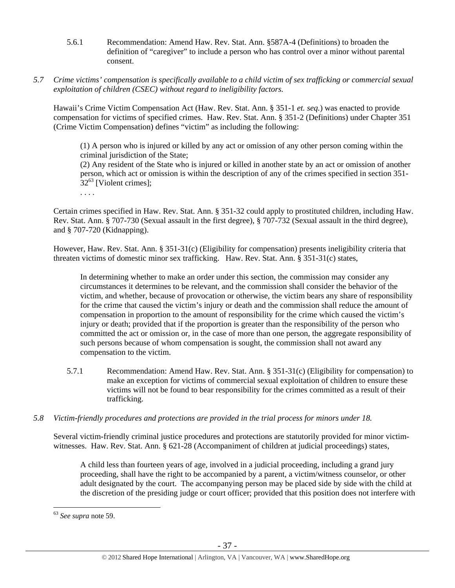- 5.6.1 Recommendation: Amend Haw. Rev. Stat. Ann. §587A-4 (Definitions) to broaden the definition of "caregiver" to include a person who has control over a minor without parental consent.
- *5.7 Crime victims' compensation is specifically available to a child victim of sex trafficking or commercial sexual exploitation of children (CSEC) without regard to ineligibility factors.*

Hawaii's Crime Victim Compensation Act (Haw. Rev. Stat. Ann. § 351-1 *et. seq.*) was enacted to provide compensation for victims of specified crimes. Haw. Rev. Stat. Ann. § 351-2 (Definitions) under Chapter 351 (Crime Victim Compensation) defines "victim" as including the following:

(1) A person who is injured or killed by any act or omission of any other person coming within the criminal jurisdiction of the State;

(2) Any resident of the State who is injured or killed in another state by an act or omission of another person, which act or omission is within the description of any of the crimes specified in section 351-  $32^{63}$  [Violent crimes];

. . . .

Certain crimes specified in Haw. Rev. Stat. Ann. § 351-32 could apply to prostituted children, including Haw. Rev. Stat. Ann. § 707-730 (Sexual assault in the first degree), § 707-732 (Sexual assault in the third degree), and § 707-720 (Kidnapping).

However, Haw. Rev. Stat. Ann. § 351-31(c) (Eligibility for compensation) presents ineligibility criteria that threaten victims of domestic minor sex trafficking. Haw. Rev. Stat. Ann. § 351-31(c) states,

In determining whether to make an order under this section, the commission may consider any circumstances it determines to be relevant, and the commission shall consider the behavior of the victim, and whether, because of provocation or otherwise, the victim bears any share of responsibility for the crime that caused the victim's injury or death and the commission shall reduce the amount of compensation in proportion to the amount of responsibility for the crime which caused the victim's injury or death; provided that if the proportion is greater than the responsibility of the person who committed the act or omission or, in the case of more than one person, the aggregate responsibility of such persons because of whom compensation is sought, the commission shall not award any compensation to the victim.

- 5.7.1 Recommendation: Amend Haw. Rev. Stat. Ann. § 351-31(c) (Eligibility for compensation) to make an exception for victims of commercial sexual exploitation of children to ensure these victims will not be found to bear responsibility for the crimes committed as a result of their trafficking.
- *5.8 Victim-friendly procedures and protections are provided in the trial process for minors under 18.*

Several victim-friendly criminal justice procedures and protections are statutorily provided for minor victimwitnesses. Haw. Rev. Stat. Ann. § 621-28 (Accompaniment of children at judicial proceedings) states,

A child less than fourteen years of age, involved in a judicial proceeding, including a grand jury proceeding, shall have the right to be accompanied by a parent, a victim/witness counselor, or other adult designated by the court. The accompanying person may be placed side by side with the child at the discretion of the presiding judge or court officer; provided that this position does not interfere with

<sup>63</sup> *See supra* note 59.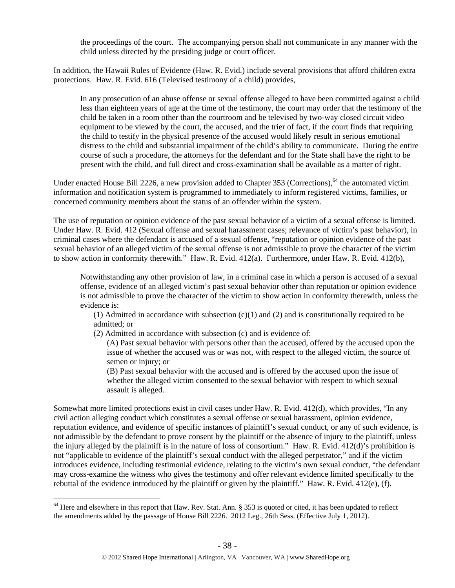the proceedings of the court. The accompanying person shall not communicate in any manner with the child unless directed by the presiding judge or court officer.

In addition, the Hawaii Rules of Evidence (Haw. R. Evid.) include several provisions that afford children extra protections. Haw. R. Evid. 616 (Televised testimony of a child) provides,

In any prosecution of an abuse offense or sexual offense alleged to have been committed against a child less than eighteen years of age at the time of the testimony, the court may order that the testimony of the child be taken in a room other than the courtroom and be televised by two-way closed circuit video equipment to be viewed by the court, the accused, and the trier of fact, if the court finds that requiring the child to testify in the physical presence of the accused would likely result in serious emotional distress to the child and substantial impairment of the child's ability to communicate. During the entire course of such a procedure, the attorneys for the defendant and for the State shall have the right to be present with the child, and full direct and cross-examination shall be available as a matter of right.

Under enacted House Bill 2226, a new provision added to Chapter 353 (Corrections),  $64$  the automated victim information and notification system is programmed to immediately to inform registered victims, families, or concerned community members about the status of an offender within the system.

The use of reputation or opinion evidence of the past sexual behavior of a victim of a sexual offense is limited. Under Haw. R. Evid. 412 (Sexual offense and sexual harassment cases; relevance of victim's past behavior), in criminal cases where the defendant is accused of a sexual offense, "reputation or opinion evidence of the past sexual behavior of an alleged victim of the sexual offense is not admissible to prove the character of the victim to show action in conformity therewith." Haw. R. Evid. 412(a). Furthermore, under Haw. R. Evid. 412(b),

Notwithstanding any other provision of law, in a criminal case in which a person is accused of a sexual offense, evidence of an alleged victim's past sexual behavior other than reputation or opinion evidence is not admissible to prove the character of the victim to show action in conformity therewith, unless the evidence is:

(1) Admitted in accordance with subsection (c)(1) and (2) and is constitutionally required to be admitted; or

- (2) Admitted in accordance with subsection (c) and is evidence of:
	- (A) Past sexual behavior with persons other than the accused, offered by the accused upon the issue of whether the accused was or was not, with respect to the alleged victim, the source of semen or injury; or

(B) Past sexual behavior with the accused and is offered by the accused upon the issue of whether the alleged victim consented to the sexual behavior with respect to which sexual assault is alleged.

Somewhat more limited protections exist in civil cases under Haw. R. Evid. 412(d), which provides, "In any civil action alleging conduct which constitutes a sexual offense or sexual harassment, opinion evidence, reputation evidence, and evidence of specific instances of plaintiff's sexual conduct, or any of such evidence, is not admissible by the defendant to prove consent by the plaintiff or the absence of injury to the plaintiff, unless the injury alleged by the plaintiff is in the nature of loss of consortium." Haw. R. Evid. 412(d)'s prohibition is not "applicable to evidence of the plaintiff's sexual conduct with the alleged perpetrator," and if the victim introduces evidence, including testimonial evidence, relating to the victim's own sexual conduct, "the defendant may cross-examine the witness who gives the testimony and offer relevant evidence limited specifically to the rebuttal of the evidence introduced by the plaintiff or given by the plaintiff." Haw. R. Evid. 412(e), (f).

 $64$  Here and elsewhere in this report that Haw. Rev. Stat. Ann. § 353 is quoted or cited, it has been updated to reflect the amendments added by the passage of House Bill 2226. 2012 Leg., 26th Sess. (Effective July 1, 2012).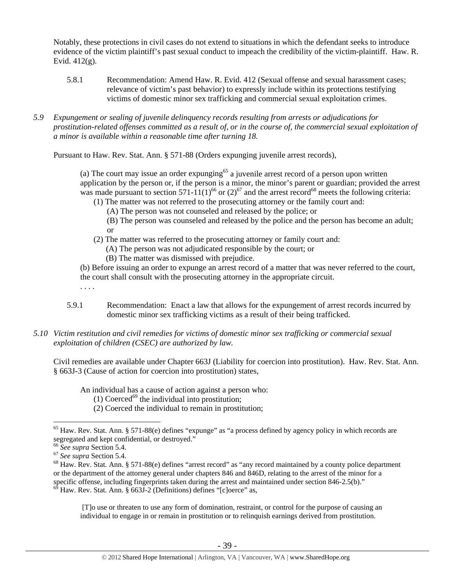Notably, these protections in civil cases do not extend to situations in which the defendant seeks to introduce evidence of the victim plaintiff's past sexual conduct to impeach the credibility of the victim-plaintiff. Haw. R. Evid. 412(g).

- 5.8.1 Recommendation: Amend Haw. R. Evid. 412 (Sexual offense and sexual harassment cases; relevance of victim's past behavior) to expressly include within its protections testifying victims of domestic minor sex trafficking and commercial sexual exploitation crimes.
- *5.9 Expungement or sealing of juvenile delinquency records resulting from arrests or adjudications for prostitution-related offenses committed as a result of, or in the course of, the commercial sexual exploitation of a minor is available within a reasonable time after turning 18.*

Pursuant to Haw. Rev. Stat. Ann. § 571-88 (Orders expunging juvenile arrest records),

(a) The court may issue an order expunging $65$  a juvenile arrest record of a person upon written application by the person or, if the person is a minor, the minor's parent or guardian; provided the arrest was made pursuant to section 571-11(1)<sup>66</sup> or (2)<sup>67</sup> and the arrest record<sup>68</sup> meets the following criteria:

(1) The matter was not referred to the prosecuting attorney or the family court and:

(A) The person was not counseled and released by the police; or

(B) The person was counseled and released by the police and the person has become an adult; or

- (2) The matter was referred to the prosecuting attorney or family court and:
	- (A) The person was not adjudicated responsible by the court; or
	- (B) The matter was dismissed with prejudice.

(b) Before issuing an order to expunge an arrest record of a matter that was never referred to the court, the court shall consult with the prosecuting attorney in the appropriate circuit.

- 5.9.1 Recommendation: Enact a law that allows for the expungement of arrest records incurred by domestic minor sex trafficking victims as a result of their being trafficked.
- *5.10 Victim restitution and civil remedies for victims of domestic minor sex trafficking or commercial sexual exploitation of children (CSEC) are authorized by law.*

Civil remedies are available under Chapter 663J (Liability for coercion into prostitution). Haw. Rev. Stat. Ann. § 663J-3 (Cause of action for coercion into prostitution) states,

An individual has a cause of action against a person who:

- (1) Coerced<sup>69</sup> the individual into prostitution;
- (2) Coerced the individual to remain in prostitution;

 $\overline{a}$ 

. . . .

 [T]o use or threaten to use any form of domination, restraint, or control for the purpose of causing an individual to engage in or remain in prostitution or to relinquish earnings derived from prostitution.

 $65$  Haw. Rev. Stat. Ann. § 571-88(e) defines "expunge" as "a process defined by agency policy in which records are segregated and kept confidential, or destroyed."<br><sup>66</sup> See supra Section 5.4.

<sup>&</sup>lt;sup>67</sup> See supra Section 5.4.<br><sup>68</sup> Haw. Rev. Stat. Ann. § 571-88(e) defines "arrest record" as "any record maintained by a county police department or the department of the attorney general under chapters 846 and 846D, relating to the arrest of the minor for a specific offense, including fingerprints taken during the arrest and maintained under section 846-2.5(b)."<br><sup>69</sup> Haw Bay State Arr S 6661.2.5(c)." Haw. Rev. Stat. Ann. § 663J-2 (Definitions) defines "[c]oerce" as,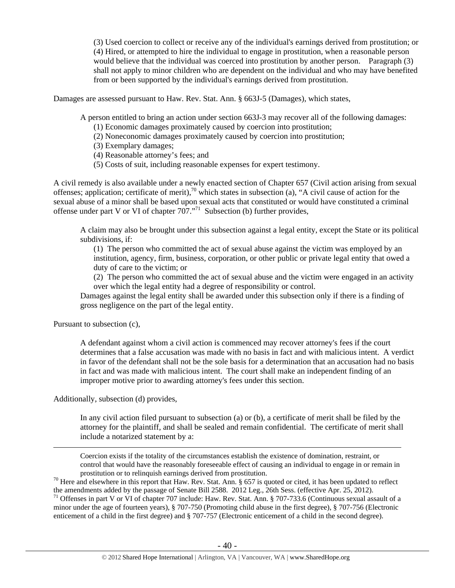(3) Used coercion to collect or receive any of the individual's earnings derived from prostitution; or (4) Hired, or attempted to hire the individual to engage in prostitution, when a reasonable person would believe that the individual was coerced into prostitution by another person. Paragraph (3) shall not apply to minor children who are dependent on the individual and who may have benefited from or been supported by the individual's earnings derived from prostitution.

Damages are assessed pursuant to Haw. Rev. Stat. Ann. § 663J-5 (Damages), which states,

A person entitled to bring an action under section 663J-3 may recover all of the following damages:

- (1) Economic damages proximately caused by coercion into prostitution;
- (2) Noneconomic damages proximately caused by coercion into prostitution;
- (3) Exemplary damages;
- (4) Reasonable attorney's fees; and
- (5) Costs of suit, including reasonable expenses for expert testimony.

A civil remedy is also available under a newly enacted section of Chapter 657 (Civil action arising from sexual offenses; application; certificate of merit),<sup>70</sup> which states in subsection (a), "A civil cause of action for the sexual abuse of a minor shall be based upon sexual acts that constituted or would have constituted a criminal offense under part V or VI of chapter  $707.^{971}$  Subsection (b) further provides,

A claim may also be brought under this subsection against a legal entity, except the State or its political subdivisions, if:

(1) The person who committed the act of sexual abuse against the victim was employed by an institution, agency, firm, business, corporation, or other public or private legal entity that owed a duty of care to the victim; or

(2) The person who committed the act of sexual abuse and the victim were engaged in an activity over which the legal entity had a degree of responsibility or control.

Damages against the legal entity shall be awarded under this subsection only if there is a finding of gross negligence on the part of the legal entity.

Pursuant to subsection (c),

A defendant against whom a civil action is commenced may recover attorney's fees if the court determines that a false accusation was made with no basis in fact and with malicious intent. A verdict in favor of the defendant shall not be the sole basis for a determination that an accusation had no basis in fact and was made with malicious intent. The court shall make an independent finding of an improper motive prior to awarding attorney's fees under this section.

Additionally, subsection (d) provides,

In any civil action filed pursuant to subsection (a) or (b), a certificate of merit shall be filed by the attorney for the plaintiff, and shall be sealed and remain confidential. The certificate of merit shall include a notarized statement by a:

 Coercion exists if the totality of the circumstances establish the existence of domination, restraint, or control that would have the reasonably foreseeable effect of causing an individual to engage in or remain in prostitution or to relinquish earnings derived from prostitution.<br><sup>70</sup> Here and elsewhere in this report that Haw. Rev. Stat. Ann. § 657 is quoted or cited, it has been updated to reflect

minor under the age of fourteen years), § 707-750 (Promoting child abuse in the first degree), § 707-756 (Electronic enticement of a child in the first degree) and § 707-757 (Electronic enticement of a child in the second degree).

the amendments added by the passage of Senate Bill 2588. 2012 Leg., 26th Sess. (effective Apr. 25, 2012).<br><sup>71</sup> Offenses in part V or VI of chapter 707 include: Haw. Rev. Stat. Ann. § 707-733.6 (Continuous sexual assault of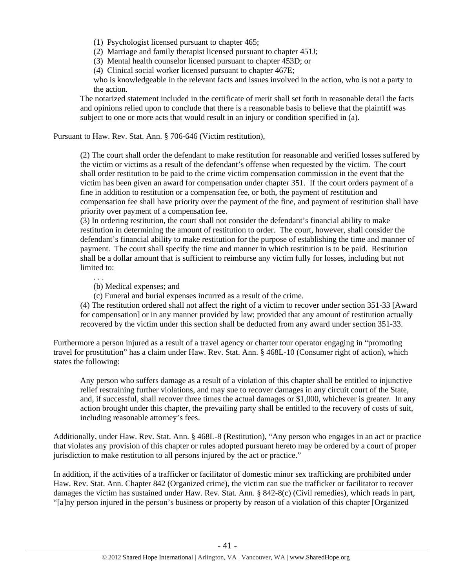- (1) Psychologist licensed pursuant to chapter 465;
- (2) Marriage and family therapist licensed pursuant to chapter 451J;
- (3) Mental health counselor licensed pursuant to chapter 453D; or
- (4) Clinical social worker licensed pursuant to chapter 467E;

who is knowledgeable in the relevant facts and issues involved in the action, who is not a party to the action.

The notarized statement included in the certificate of merit shall set forth in reasonable detail the facts and opinions relied upon to conclude that there is a reasonable basis to believe that the plaintiff was subject to one or more acts that would result in an injury or condition specified in (a).

Pursuant to Haw. Rev. Stat. Ann. § 706-646 (Victim restitution),

(2) The court shall order the defendant to make restitution for reasonable and verified losses suffered by the victim or victims as a result of the defendant's offense when requested by the victim. The court shall order restitution to be paid to the crime victim compensation commission in the event that the victim has been given an award for compensation under chapter 351. If the court orders payment of a fine in addition to restitution or a compensation fee, or both, the payment of restitution and compensation fee shall have priority over the payment of the fine, and payment of restitution shall have priority over payment of a compensation fee.

(3) In ordering restitution, the court shall not consider the defendant's financial ability to make restitution in determining the amount of restitution to order. The court, however, shall consider the defendant's financial ability to make restitution for the purpose of establishing the time and manner of payment. The court shall specify the time and manner in which restitution is to be paid. Restitution shall be a dollar amount that is sufficient to reimburse any victim fully for losses, including but not limited to:

(b) Medical expenses; and

. . .

(c) Funeral and burial expenses incurred as a result of the crime.

(4) The restitution ordered shall not affect the right of a victim to recover under section 351-33 [Award for compensation] or in any manner provided by law; provided that any amount of restitution actually recovered by the victim under this section shall be deducted from any award under section 351-33.

Furthermore a person injured as a result of a travel agency or charter tour operator engaging in "promoting travel for prostitution" has a claim under Haw. Rev. Stat. Ann. § 468L-10 (Consumer right of action), which states the following:

Any person who suffers damage as a result of a violation of this chapter shall be entitled to injunctive relief restraining further violations, and may sue to recover damages in any circuit court of the State, and, if successful, shall recover three times the actual damages or \$1,000, whichever is greater. In any action brought under this chapter, the prevailing party shall be entitled to the recovery of costs of suit, including reasonable attorney's fees.

Additionally, under Haw. Rev. Stat. Ann. § 468L-8 (Restitution), "Any person who engages in an act or practice that violates any provision of this chapter or rules adopted pursuant hereto may be ordered by a court of proper jurisdiction to make restitution to all persons injured by the act or practice."

In addition, if the activities of a trafficker or facilitator of domestic minor sex trafficking are prohibited under Haw. Rev. Stat. Ann. Chapter 842 (Organized crime), the victim can sue the trafficker or facilitator to recover damages the victim has sustained under Haw. Rev. Stat. Ann. § 842-8(c) (Civil remedies), which reads in part, "[a]ny person injured in the person's business or property by reason of a violation of this chapter [Organized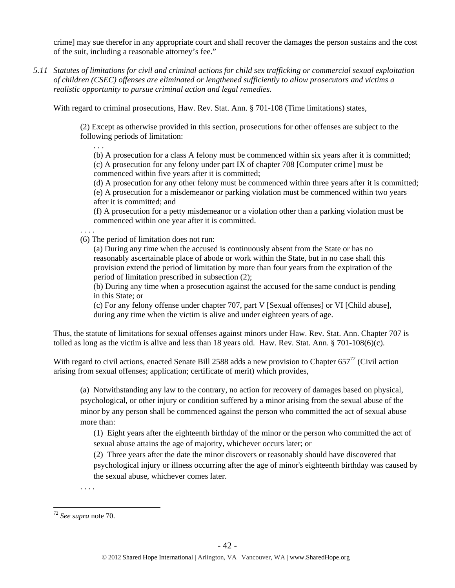crime] may sue therefor in any appropriate court and shall recover the damages the person sustains and the cost of the suit, including a reasonable attorney's fee."

*5.11 Statutes of limitations for civil and criminal actions for child sex trafficking or commercial sexual exploitation of children (CSEC) offenses are eliminated or lengthened sufficiently to allow prosecutors and victims a realistic opportunity to pursue criminal action and legal remedies.* 

With regard to criminal prosecutions, Haw. Rev. Stat. Ann. § 701-108 (Time limitations) states,

(2) Except as otherwise provided in this section, prosecutions for other offenses are subject to the following periods of limitation:

(b) A prosecution for a class A felony must be commenced within six years after it is committed; (c) A prosecution for any felony under part IX of chapter 708 [Computer crime] must be commenced within five years after it is committed;

(d) A prosecution for any other felony must be commenced within three years after it is committed; (e) A prosecution for a misdemeanor or parking violation must be commenced within two years after it is committed; and

(f) A prosecution for a petty misdemeanor or a violation other than a parking violation must be commenced within one year after it is committed.

(6) The period of limitation does not run:

. . .

. . . .

(a) During any time when the accused is continuously absent from the State or has no reasonably ascertainable place of abode or work within the State, but in no case shall this provision extend the period of limitation by more than four years from the expiration of the period of limitation prescribed in subsection (2);

(b) During any time when a prosecution against the accused for the same conduct is pending in this State; or

(c) For any felony offense under chapter 707, part V [Sexual offenses] or VI [Child abuse], during any time when the victim is alive and under eighteen years of age.

Thus, the statute of limitations for sexual offenses against minors under Haw. Rev. Stat. Ann. Chapter 707 is tolled as long as the victim is alive and less than 18 years old. Haw. Rev. Stat. Ann. § 701-108(6)(c).

With regard to civil actions, enacted Senate Bill 2588 adds a new provision to Chapter  $657^{72}$  (Civil action arising from sexual offenses; application; certificate of merit) which provides,

(a) Notwithstanding any law to the contrary, no action for recovery of damages based on physical, psychological, or other injury or condition suffered by a minor arising from the sexual abuse of the minor by any person shall be commenced against the person who committed the act of sexual abuse more than:

(1) Eight years after the eighteenth birthday of the minor or the person who committed the act of sexual abuse attains the age of majority, whichever occurs later; or

(2) Three years after the date the minor discovers or reasonably should have discovered that psychological injury or illness occurring after the age of minor's eighteenth birthday was caused by the sexual abuse, whichever comes later.

. . . .

 $\overline{a}$ <sup>72</sup> *See supra* note 70.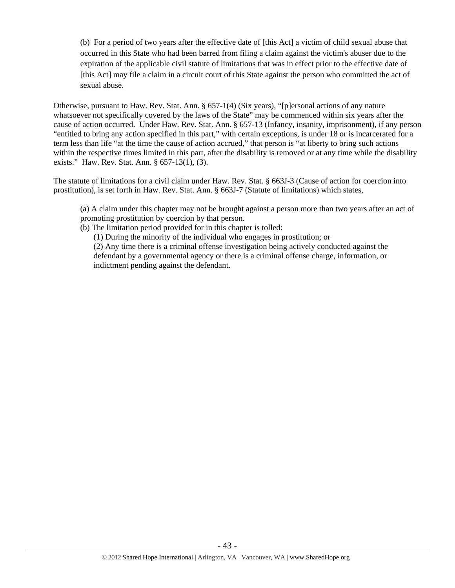(b) For a period of two years after the effective date of [this Act] a victim of child sexual abuse that occurred in this State who had been barred from filing a claim against the victim's abuser due to the expiration of the applicable civil statute of limitations that was in effect prior to the effective date of [this Act] may file a claim in a circuit court of this State against the person who committed the act of sexual abuse.

Otherwise, pursuant to Haw. Rev. Stat. Ann. § 657-1(4) (Six years), "[p]ersonal actions of any nature whatsoever not specifically covered by the laws of the State" may be commenced within six years after the cause of action occurred. Under Haw. Rev. Stat. Ann. § 657-13 (Infancy, insanity, imprisonment), if any person "entitled to bring any action specified in this part," with certain exceptions, is under 18 or is incarcerated for a term less than life "at the time the cause of action accrued," that person is "at liberty to bring such actions within the respective times limited in this part, after the disability is removed or at any time while the disability exists." Haw. Rev. Stat. Ann. § 657-13(1), (3).

The statute of limitations for a civil claim under Haw. Rev. Stat. § 663J-3 (Cause of action for coercion into prostitution), is set forth in Haw. Rev. Stat. Ann. § 663J-7 (Statute of limitations) which states,

(a) A claim under this chapter may not be brought against a person more than two years after an act of promoting prostitution by coercion by that person.

(b) The limitation period provided for in this chapter is tolled:

(1) During the minority of the individual who engages in prostitution; or

(2) Any time there is a criminal offense investigation being actively conducted against the defendant by a governmental agency or there is a criminal offense charge, information, or indictment pending against the defendant.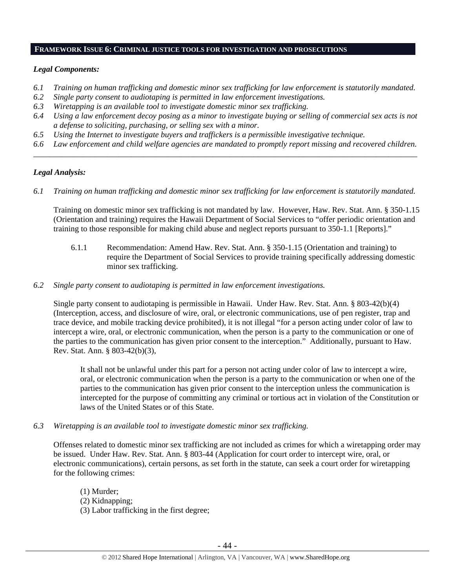#### **FRAMEWORK ISSUE 6: CRIMINAL JUSTICE TOOLS FOR INVESTIGATION AND PROSECUTIONS**

## *Legal Components:*

- *6.1 Training on human trafficking and domestic minor sex trafficking for law enforcement is statutorily mandated.*
- *6.2 Single party consent to audiotaping is permitted in law enforcement investigations.*
- *6.3 Wiretapping is an available tool to investigate domestic minor sex trafficking.*
- *6.4 Using a law enforcement decoy posing as a minor to investigate buying or selling of commercial sex acts is not a defense to soliciting, purchasing, or selling sex with a minor.*
- *6.5 Using the Internet to investigate buyers and traffickers is a permissible investigative technique.*
- *6.6 Law enforcement and child welfare agencies are mandated to promptly report missing and recovered children. \_\_\_\_\_\_\_\_\_\_\_\_\_\_\_\_\_\_\_\_\_\_\_\_\_\_\_\_\_\_\_\_\_\_\_\_\_\_\_\_\_\_\_\_\_\_\_\_\_\_\_\_\_\_\_\_\_\_\_\_\_\_\_\_\_\_\_\_\_\_\_\_\_\_\_\_\_\_\_\_\_\_\_\_\_\_\_\_\_\_\_\_\_\_*

## *Legal Analysis:*

*6.1 Training on human trafficking and domestic minor sex trafficking for law enforcement is statutorily mandated.* 

Training on domestic minor sex trafficking is not mandated by law. However, Haw. Rev. Stat. Ann. § 350-1.15 (Orientation and training) requires the Hawaii Department of Social Services to "offer periodic orientation and training to those responsible for making child abuse and neglect reports pursuant to 350-1.1 [Reports]."

- 6.1.1 Recommendation: Amend Haw. Rev. Stat. Ann. § 350-1.15 (Orientation and training) to require the Department of Social Services to provide training specifically addressing domestic minor sex trafficking.
- *6.2 Single party consent to audiotaping is permitted in law enforcement investigations.*

Single party consent to audiotaping is permissible in Hawaii. Under Haw. Rev. Stat. Ann. § 803-42(b)(4) (Interception, access, and disclosure of wire, oral, or electronic communications, use of pen register, trap and trace device, and mobile tracking device prohibited), it is not illegal "for a person acting under color of law to intercept a wire, oral, or electronic communication, when the person is a party to the communication or one of the parties to the communication has given prior consent to the interception." Additionally, pursuant to Haw. Rev. Stat. Ann. § 803-42(b)(3),

It shall not be unlawful under this part for a person not acting under color of law to intercept a wire, oral, or electronic communication when the person is a party to the communication or when one of the parties to the communication has given prior consent to the interception unless the communication is intercepted for the purpose of committing any criminal or tortious act in violation of the Constitution or laws of the United States or of this State.

*6.3 Wiretapping is an available tool to investigate domestic minor sex trafficking.* 

Offenses related to domestic minor sex trafficking are not included as crimes for which a wiretapping order may be issued. Under Haw. Rev. Stat. Ann. § 803-44 (Application for court order to intercept wire, oral, or electronic communications), certain persons, as set forth in the statute, can seek a court order for wiretapping for the following crimes:

(1) Murder; (2) Kidnapping; (3) Labor trafficking in the first degree;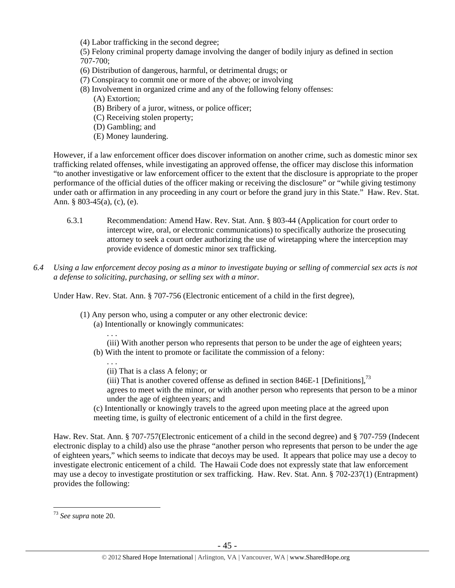(4) Labor trafficking in the second degree;

(5) Felony criminal property damage involving the danger of bodily injury as defined in section 707-700;

- (6) Distribution of dangerous, harmful, or detrimental drugs; or
- (7) Conspiracy to commit one or more of the above; or involving
- (8) Involvement in organized crime and any of the following felony offenses:
	- (A) Extortion;
	- (B) Bribery of a juror, witness, or police officer;
	- (C) Receiving stolen property;
	- (D) Gambling; and
	- (E) Money laundering.

However, if a law enforcement officer does discover information on another crime, such as domestic minor sex trafficking related offenses, while investigating an approved offense, the officer may disclose this information "to another investigative or law enforcement officer to the extent that the disclosure is appropriate to the proper performance of the official duties of the officer making or receiving the disclosure" or "while giving testimony under oath or affirmation in any proceeding in any court or before the grand jury in this State." Haw. Rev. Stat. Ann. § 803-45(a), (c), (e).

- 6.3.1 Recommendation: Amend Haw. Rev. Stat. Ann. § 803-44 (Application for court order to intercept wire, oral, or electronic communications) to specifically authorize the prosecuting attorney to seek a court order authorizing the use of wiretapping where the interception may provide evidence of domestic minor sex trafficking.
- *6.4 Using a law enforcement decoy posing as a minor to investigate buying or selling of commercial sex acts is not a defense to soliciting, purchasing, or selling sex with a minor.*

Under Haw. Rev. Stat. Ann. § 707-756 (Electronic enticement of a child in the first degree),

- (1) Any person who, using a computer or any other electronic device:
	- (a) Intentionally or knowingly communicates:
	- . . . (iii) With another person who represents that person to be under the age of eighteen years; (b) With the intent to promote or facilitate the commission of a felony:
		- (ii) That is a class A felony; or

. . .

- (iii) That is another covered offense as defined in section 846E-1 [Definitions],  $^{73}$
- agrees to meet with the minor, or with another person who represents that person to be a minor under the age of eighteen years; and
- (c) Intentionally or knowingly travels to the agreed upon meeting place at the agreed upon meeting time, is guilty of electronic enticement of a child in the first degree.

Haw. Rev. Stat. Ann. § 707-757(Electronic enticement of a child in the second degree) and § 707-759 (Indecent electronic display to a child) also use the phrase "another person who represents that person to be under the age of eighteen years," which seems to indicate that decoys may be used. It appears that police may use a decoy to investigate electronic enticement of a child. The Hawaii Code does not expressly state that law enforcement may use a decoy to investigate prostitution or sex trafficking. Haw. Rev. Stat. Ann. § 702-237(1) (Entrapment) provides the following:

<sup>73</sup> *See supra* note 20.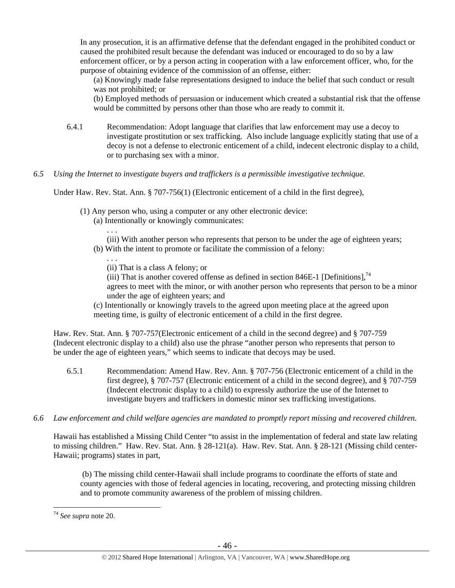In any prosecution, it is an affirmative defense that the defendant engaged in the prohibited conduct or caused the prohibited result because the defendant was induced or encouraged to do so by a law enforcement officer, or by a person acting in cooperation with a law enforcement officer, who, for the purpose of obtaining evidence of the commission of an offense, either:

(a) Knowingly made false representations designed to induce the belief that such conduct or result was not prohibited; or

(b) Employed methods of persuasion or inducement which created a substantial risk that the offense would be committed by persons other than those who are ready to commit it.

- 6.4.1 Recommendation: Adopt language that clarifies that law enforcement may use a decoy to investigate prostitution or sex trafficking. Also include language explicitly stating that use of a decoy is not a defense to electronic enticement of a child, indecent electronic display to a child, or to purchasing sex with a minor.
- *6.5 Using the Internet to investigate buyers and traffickers is a permissible investigative technique.*

Under Haw. Rev. Stat. Ann. § 707-756(1) (Electronic enticement of a child in the first degree),

- (1) Any person who, using a computer or any other electronic device:
	- (a) Intentionally or knowingly communicates:
		- (iii) With another person who represents that person to be under the age of eighteen years;
	- (b) With the intent to promote or facilitate the commission of a felony:
		- . . . (ii) That is a class A felony; or

. . .

- (iii) That is another covered offense as defined in section 846E-1 [Definitions].<sup>74</sup> agrees to meet with the minor, or with another person who represents that person to be a minor under the age of eighteen years; and
- (c) Intentionally or knowingly travels to the agreed upon meeting place at the agreed upon meeting time, is guilty of electronic enticement of a child in the first degree.

Haw. Rev. Stat. Ann. § 707-757(Electronic enticement of a child in the second degree) and § 707-759 (Indecent electronic display to a child) also use the phrase "another person who represents that person to be under the age of eighteen years," which seems to indicate that decoys may be used.

- 6.5.1 Recommendation: Amend Haw. Rev. Ann. § 707-756 (Electronic enticement of a child in the first degree), § 707-757 (Electronic enticement of a child in the second degree), and § 707-759 (Indecent electronic display to a child) to expressly authorize the use of the Internet to investigate buyers and traffickers in domestic minor sex trafficking investigations.
- *6.6 Law enforcement and child welfare agencies are mandated to promptly report missing and recovered children.*

Hawaii has established a Missing Child Center "to assist in the implementation of federal and state law relating to missing children." Haw. Rev. Stat. Ann. § 28-121(a). Haw. Rev. Stat. Ann. § 28-121 (Missing child center-Hawaii; programs) states in part,

 (b) The missing child center-Hawaii shall include programs to coordinate the efforts of state and county agencies with those of federal agencies in locating, recovering, and protecting missing children and to promote community awareness of the problem of missing children.

<sup>74</sup> *See supra* note 20.